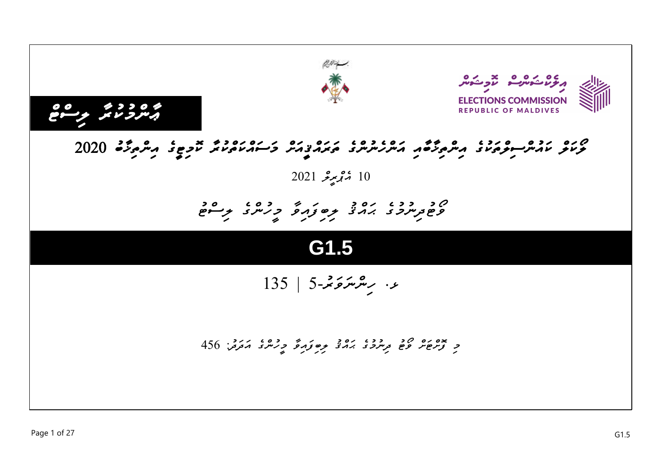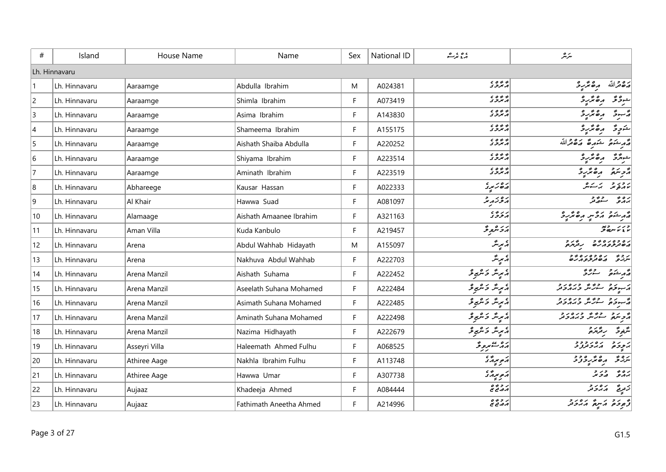| #              | Island        | House Name    | Name                    | Sex         | National ID | ېره پر شه                       | يترمثر                                  |
|----------------|---------------|---------------|-------------------------|-------------|-------------|---------------------------------|-----------------------------------------|
|                | Lh. Hinnavaru |               |                         |             |             |                                 |                                         |
| 1              | Lh. Hinnavaru | Aaraamge      | Abdulla Ibrahim         | M           | A024381     | ږ وه ده<br>د تر د د             | ە ھەترىر 2<br>مَەقراللّه                |
| $\overline{2}$ | Lh. Hinnavaru | Aaraamge      | Shimla Ibrahim          | F           | A073419     | پر پر ه پر<br>د تر پر پر        | برە ئۆرۈ<br>شەۋ ئۇ<br>م                 |
| 3              | Lh. Hinnavaru | Aaraamge      | Asima Ibrahim           | F           | A143830     | ږ وه ده<br>د تر د د             | ە ھەترىر <sup>ە</sup><br>وشبيرة         |
| $\vert 4$      | Lh. Hinnavaru | Aaraamge      | Shameema Ibrahim        | F           | A155175     | ږ وه د<br>د برد د               | 5/20,<br>شکو و گ                        |
| 5              | Lh. Hinnavaru | Aaraamge      | Aishath Shaiba Abdulla  | F           | A220252     | ء ء ہ ،<br>پر برو <sub>ک</sub>  | مُ مِنْدَمْ شَوْمٍ مُ صَوْرَاللّهِ      |
| 6              | Lh. Hinnavaru | Aaraamge      | Shiyama Ibrahim         | F           | A223514     | پر پر ہ<br>درگر تر <sub>ک</sub> | شوردة وكالمردد                          |
| $\overline{7}$ | Lh. Hinnavaru | Aaraamge      | Aminath Ibrahim         | F           | A223519     | ږ وه د<br>د ترو د               | أأدبتكم المقتربة                        |
| $\overline{8}$ | Lh. Hinnavaru | Abhareege     | Kausar Hassan           | $\mathsf F$ | A022333     | پر چور سمبر <sup>ج</sup>        | رورو پر سکاهر                           |
| $ 9\rangle$    | Lh. Hinnavaru | Al Khair      | Hawwa Suad              | F           | A081097     | پە ئەرىر                        | ره و دود                                |
| 10             | Lh. Hinnavaru | Alamaage      | Aishath Amaanee Ibrahim | F           | A321163     | ر ر بر »<br>در نور د            | و من دو بروس مده مربود                  |
| 11             | Lh. Hinnavaru | Aman Villa    | Kuda Kanbulo            | F           | A219457     | لأخشعرتم                        | $30 - 22$                               |
| 12             | Lh. Hinnavaru | Arena         | Abdul Wahhab Hidayath   | M           | A155097     | لرمبرىتر                        |                                         |
| 13             | Lh. Hinnavaru | Arena         | Nakhuva Abdul Wahhab    | F           | A222703     | لرمبرىتر                        | ر و ده ده ده ده و<br>سرزه پره تروه در ص |
| 14             | Lh. Hinnavaru | Arena Manzil  | Aishath Suhama          | F           | A222452     | ە ئەبەئە ئەندى پى               | وأرشكم فسنركز                           |
| 15             | Lh. Hinnavaru | Arena Manzil  | Aseelath Suhana Mohamed | F           | A222484     | دېږېد ځه عربو و                 | ړ بېرو د ده وره د د                     |
| 16             | Lh. Hinnavaru | Arena Manzil  | Asimath Suhana Mohamed  | F           | A222485     | دېږېد ځه شمېر څه                | ه برد و ده دره دره                      |
| 17             | Lh. Hinnavaru | Arena Manzil  | Aminath Suhana Mohamed  | F           | A222498     | أدبربثر وكربر و                 | ه در در ده دره در د                     |
| 18             | Lh. Hinnavaru | Arena Manzil  | Nazima Hidhayath        | F           | A222679     | پرېگر ځنګېږ څه                  | شهود روزده                              |
| 19             | Lh. Hinnavaru | Asseyri Villa | Haleemath Ahmed Fulhu   | F           | A068525     | رە يى<br>مەر سىمبرىرىتى         | ر د د د د د د د و د                     |
| 20             | Lh. Hinnavaru | Athiree Aage  | Nakhla Ibrahim Fulhu    | F           | A113748     | <br>  په هو بېرونو د            | يرد څه په مورو د                        |
| 21             | Lh. Hinnavaru | Athiree Aage  | Hawwa Umar              | F           | A307738     | ر<br>موسمبرژی                   | $7.77$ 201                              |
| 22             | Lh. Hinnavaru | Aujaaz        | Khadeeja Ahmed          | F           | A084444     | 8822                            | زَمِرِيحَ 1.25%                         |
| 23             | Lh. Hinnavaru | Aujaaz        | Fathimath Aneetha Ahmed | F           | A214996     | ر و ده ه<br>مرمونو ځ            | وتجوده مستح مددو                        |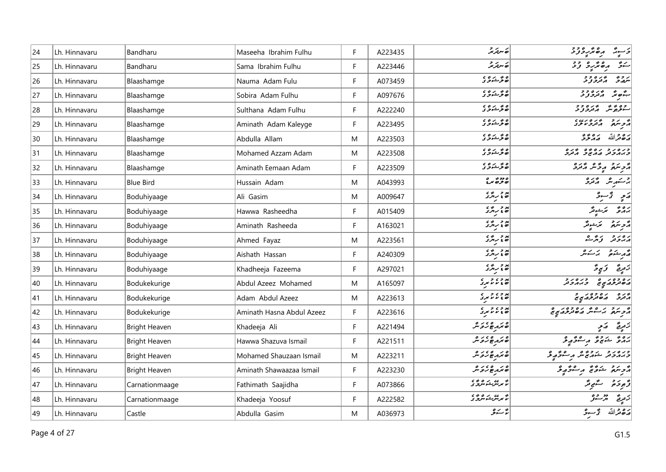| 24 | Lh. Hinnavaru | Bandharu             | Maseeha Ibrahim Fulhu     | F         | A223435 | ر<br>ت <i>ه سرچر</i> پر         | دسته مقدم دود                                                                                                                                                                                                                                                       |
|----|---------------|----------------------|---------------------------|-----------|---------|---------------------------------|---------------------------------------------------------------------------------------------------------------------------------------------------------------------------------------------------------------------------------------------------------------------|
| 25 | Lh. Hinnavaru | Bandharu             | Sama Ibrahim Fulhu        | F         | A223446 | ر<br>ن سرچر بر                  | لردية وهتريدة وتز                                                                                                                                                                                                                                                   |
| 26 | Lh. Hinnavaru | Blaashamge           | Nauma Adam Fulu           | F         | A073459 | ە ئۇشەرى<br>ھۇشەرى              | سمدتر<br>په ره و د<br>پر تر و تر تر                                                                                                                                                                                                                                 |
| 27 | Lh. Hinnavaru | Blaashamge           | Sobira Adam Fulhu         | F         | A097676 | ە ئەشەرى<br>ھۆشەرى              | پر د ه د د<br>پر ترو تو تو<br>ىبەھ ئە                                                                                                                                                                                                                               |
| 28 | Lh. Hinnavaru | Blaashamge           | Sulthana Adam Fulhu       | F         | A222240 | ە ئۇشەرى<br>ھۇشەرى              | وه وي په وره وو<br>سوچي شهر مرفر و                                                                                                                                                                                                                                  |
| 29 | Lh. Hinnavaru | Blaashamge           | Aminath Adam Kaleyge      | F         | A223495 | ە ئۇشەرى<br>ھۇشەرى              | ه ره رړ، ،<br>پر تر و ري  ي<br>أرمز تمر                                                                                                                                                                                                                             |
| 30 | Lh. Hinnavaru | Blaashamge           | Abdulla Allam             | M         | A223503 | ە ئۇشەرى<br>ھۇشەرى              | مَصْعَراللَّهُ مَمْ مُرْحَرَّ                                                                                                                                                                                                                                       |
| 31 | Lh. Hinnavaru | Blaashamge           | Mohamed Azzam Adam        | ${\sf M}$ | A223508 | ە ئۇشەرى<br>ھۇشەرى              | כנסנכ נסטס שנם<br>בגהבת ההאב התכ                                                                                                                                                                                                                                    |
| 32 | Lh. Hinnavaru | Blaashamge           | Aminath Eemaan Adam       | F         | A223509 | ە ئۇشەرى<br>ھۇشەرى              | أأدبتكم وتحبر أتترد                                                                                                                                                                                                                                                 |
| 33 | Lh. Hinnavaru | <b>Blue Bird</b>     | Hussain Adam              | ${\sf M}$ | A043993 | ە دورى<br>ھىرىھىمدە             |                                                                                                                                                                                                                                                                     |
| 34 | Lh. Hinnavaru | Boduhiyaage          | Ali Gasim                 | M         | A009647 | پر د پر پر<br>ن پر برد          | $rac{3}{2}$ $rac{3}{2}$ $rac{3}{2}$                                                                                                                                                                                                                                 |
| 35 | Lh. Hinnavaru | Boduhiyaage          | Hawwa Rasheedha           | F         | A015409 | بر د پر<br>مان پر در            | رە پە<br>بەد ئ<br>ىر ئىسىيەتىر<br>ئە                                                                                                                                                                                                                                |
| 36 | Lh. Hinnavaru | Boduhiyaage          | Aminath Rasheeda          | F         | A163021 | پر د بر د پر<br>  خه پر پر پر   | أأدح مكرهم المتمر الموافد                                                                                                                                                                                                                                           |
| 37 | Lh. Hinnavaru | Boduhiyaage          | Ahmed Fayaz               | ${\sf M}$ | A223561 | بر د پر<br>مان پر در            | رەرد ئەر                                                                                                                                                                                                                                                            |
| 38 | Lh. Hinnavaru | Boduhiyaage          | Aishath Hassan            | F         | A240309 | پر د پر پر<br>ن پر پر پر        | ۇرمىققى ئەسكىر                                                                                                                                                                                                                                                      |
| 39 | Lh. Hinnavaru | Boduhiyaage          | Khadheeja Fazeema         | F         | A297021 | بر د پر<br>مه پرهري             | زَمِرِيَّ تَرَبِّحَ                                                                                                                                                                                                                                                 |
| 40 | Lh. Hinnavaru | Bodukekurige         | Abdul Azeez Mohamed       | ${\sf M}$ | A165097 | پر د پ د<br>ج د بر بر بر        | גם כפג'ם בגם גב<br>ג'סיניבג'ם בג'הכינ                                                                                                                                                                                                                               |
| 41 | Lh. Hinnavaru | Bodukekurige         | Adam Abdul Azeez          | M         | A223613 | پر د پ د<br>ج د بر بر بر        | وره ده وه د د<br>منرد ماهنردمای                                                                                                                                                                                                                                     |
| 42 | Lh. Hinnavaru | Bodukekurige         | Aminath Hasna Abdul Azeez | F         | A223616 | بر د ی د<br>می د د د برد        | ם גב גם גם בסגם.<br>הכייטם האייית הסתיבה מש                                                                                                                                                                                                                         |
| 43 | Lh. Hinnavaru | <b>Bright Heaven</b> | Khadeeja Ali              | F         | A221494 | ە بەر ە ، بەر ھ                 | رَسِيَّ کَے پ                                                                                                                                                                                                                                                       |
| 44 | Lh. Hinnavaru | <b>Bright Heaven</b> | Hawwa Shazuva Ismail      | F         | A221511 | صمر مرضوع مر<br>   صمر مرضوع مر | $\overset{\circ}{\mathscr{S}}_{\mathscr{A}} \overset{\circ}{\mathscr{S}}_{\mathscr{A}} \overset{\circ}{\mathscr{A}}_{\mathscr{A}} \overset{\circ}{\mathscr{A}}_{\mathscr{A}} \overset{\circ}{\mathscr{A}}_{\mathscr{A}} \overset{\circ}{\mathscr{A}}_{\mathscr{A}}$ |
| 45 | Lh. Hinnavaru | <b>Bright Heaven</b> | Mohamed Shauzaan Ismail   | ${\sf M}$ | A223211 | ە بەر مەر ە                     | ورەر د پردور پر دەر د                                                                                                                                                                                                                                               |
| 46 | Lh. Hinnavaru | <b>Bright Heaven</b> | Aminath Shawaazaa Ismail  | F         | A223230 | صمر معرض محمد حس                | أروبتم فنوتج وبالحروفة                                                                                                                                                                                                                                              |
| 47 | Lh. Hinnavaru | Carnationmaage       | Fathimath Saajidha        | F         | A073866 | ر<br>ما برېتون مرکز د           | ۇمۇمۇ سەيۇ                                                                                                                                                                                                                                                          |
| 48 | Lh. Hinnavaru | Carnationmaage       | Khadeeja Yoosuf           | F         | A222582 | ر<br>ما برېتون مرکز د           | ر<br>تر ورجٌ<br>دد حرو<br>مرت                                                                                                                                                                                                                                       |
| 49 | Lh. Hinnavaru | Castle               | Abdulla Gasim             | ${\sf M}$ | A036973 | ىئەشقە                          | رَة قرالله تَرْسُورْ                                                                                                                                                                                                                                                |
|    |               |                      |                           |           |         |                                 |                                                                                                                                                                                                                                                                     |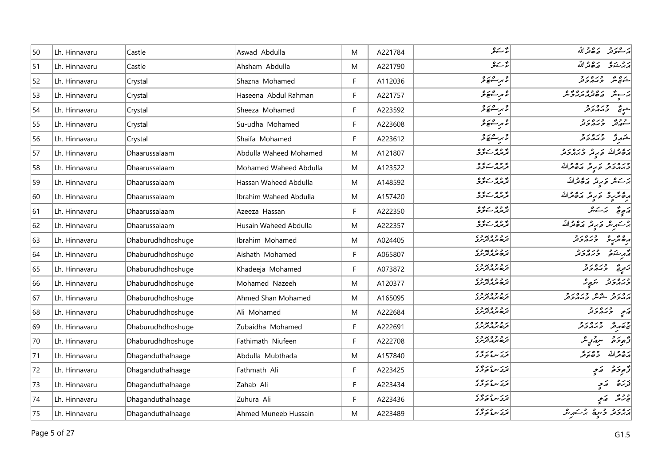| 50 | Lh. Hinnavaru | Castle            | Aswad Abdulla          | M         | A221784 | رم ئە                                                            | يُرْصُومِ بِهُ صَوْرَاللّهِ                      |
|----|---------------|-------------------|------------------------|-----------|---------|------------------------------------------------------------------|--------------------------------------------------|
| 51 | Lh. Hinnavaru | Castle            | Ahsham Abdulla         | M         | A221790 | ىزىبە                                                            | ېر جمشو د<br>مەھىراللە                           |
| 52 | Lh. Hinnavaru | Crystal           | Shazna Mohamed         | F         | A112036 | لابر شقۇ                                                         | و ر ه ر و<br>تر پروتر<br>شەم ئىر                 |
| 53 | Lh. Hinnavaru | Crystal           | Haseena Abdul Rahman   | F         | A221757 | ر<br>ئابرىش <i>ەغ</i> ۇ                                          | ر ٥ ۶ ٥ ٥ ٥ ٥ ٩<br>پرې تر ۾ بربر وگس<br>ئەسەمىگە |
| 54 | Lh. Hinnavaru | Crystal           | Sheeza Mohamed         | F         | A223592 | مىمەر سىم ئۇ                                                     | و رە ر د<br><i>د بە</i> پەر<br>شویج<br>نو        |
| 55 | Lh. Hinnavaru | Crystal           | Su-udha Mohamed        | F         | A223608 | لابر مصحو                                                        | سىۋەتر<br>ورەر د<br><i>دى</i> رمەتر              |
| 56 | Lh. Hinnavaru | Crystal           | Shaifa Mohamed         | F         | A223612 | يۇرمىقۇ                                                          | و رە ر د<br>تر پر تر تر<br>شەرقى                 |
| 57 | Lh. Hinnavaru | Dhaarussalaam     | Abdulla Waheed Mohamed | ${\sf M}$ | A121807 | ء وه ريده<br>تربر پر سکوگ                                        | رە داللە ئەيەتر دېرمەد                           |
| 58 | Lh. Hinnavaru | Dhaarussalaam     | Mohamed Waheed Abdulla | M         | A123522 | ء وه ريده<br>تربر پر سکوگ                                        | وبروبرد كريته وكافرالله                          |
| 59 | Lh. Hinnavaru | Dhaarussalaam     | Hassan Waheed Abdulla  | M         | A148592 | ه وه رر ده<br>تربر پر سنوگر                                      | برسوهر تزبيعر وكافرالله                          |
| 60 | Lh. Hinnavaru | Dhaarussalaam     | Ibrahim Waheed Abdulla | M         | A157420 | ء وه ريده<br>تربر پر سکوگ                                        | مصريح عبيقه مصرالله                              |
| 61 | Lh. Hinnavaru | Dhaarussalaam     | Azeeza Hassan          | F         | A222350 | ه وه رر ده<br>تربر پر سکوگر                                      | أَمَنِيَّ بَرَسَكَسَّ                            |
| 62 | Lh. Hinnavaru | Dhaarussalaam     | Husain Waheed Abdulla  | M         | A222357 | ه وه رر ده<br>تربر پر سکوگر                                      | جرسكرينك وكبيعر وكافات بالله                     |
| 63 | Lh. Hinnavaru | Dhaburudhdhoshuge | Ibrahim Mohamed        | ${\sf M}$ | A024405 | ر و و ه یو و تا<br>ترن بودر توسری                                | ת הייני בגרפת                                    |
| 64 | Lh. Hinnavaru | Dhaburudhdhoshuge | Aishath Mohamed        | F         | A065807 | ر و و ه پر و پر<br>تر <i>ه پر د تر بر</i> و                      | و دره دره در در د                                |
| 65 | Lh. Hinnavaru | Dhaburudhdhoshuge | Khadeeja Mohamed       | F         | A073872 | ر و و ه پر و ،<br>تر <i>ه پر د تر بر</i> و                       | كتعريج وبرورو                                    |
| 66 | Lh. Hinnavaru | Dhaburudhdhoshuge | Mohamed Nazeeh         | M         | A120377 | ر و و ه یو و ع<br>تر <i>ه بو</i> پر تر در                        | ورورو تربور                                      |
| 67 | Lh. Hinnavaru | Dhaburudhdhoshuge | Ahmed Shan Mohamed     | M         | A165095 | ر و و ه یو و د<br>ترن بودر ترمزی                                 | رەر دېم ھەدەر دېم<br>مەردىئى ھەش <i>دېم</i> ەدىر |
| 68 | Lh. Hinnavaru | Dhaburudhdhoshuge | Ali Mohamed            | M         | A222684 | ر و و ه یو و ع<br>تر <i>ه بو</i> پر تر د ک                       | أثمني وبره برد                                   |
| 69 | Lh. Hinnavaru | Dhaburudhdhoshuge | Zubaidha Mohamed       | F         | A222691 | ر و و ه پر و ۽<br>تر <i>ه پرو</i> تر <i>بر</i> ي                 | و رە ر د<br>تر پروتر<br>ح ئەمرىگە<br>ئ           |
| 70 | Lh. Hinnavaru | Dhaburudhdhoshuge | Fathimath Niufeen      | F         | A222708 | ر و و ه یو و ع<br>تر <i>ه بو</i> پر تر د ک                       | ڙوڌو سمريگر                                      |
| 71 | Lh. Hinnavaru | Dhaganduthalhaage | Abdulla Mubthada       | ${\sf M}$ | A157840 | تر تر سر و تر بر بر<br>توک <del>ی سره ح</del> وتو <sub>ک</sub> ی | و ه ر پر<br>تر <i>گاه</i> وتر<br>ەھىراللە        |
| 72 | Lh. Hinnavaru | Dhaganduthalhaage | Fathmath Ali           | F         | A223425 | ر ر سر و ر بر د<br>تری سره بح <sup>ری</sup> ی                    | و څو څه د<br>ەتەم                                |
| 73 | Lh. Hinnavaru | Dhaganduthalhaage | Zahab Ali              | F         | A223434 | ر ر سر و ر بر د<br>تری سره بح <sup>ری</sup> ی                    | تر ژرځ<br>  فدر ژ <b>ر</b> ځ<br>ەكىسى            |
| 74 | Lh. Hinnavaru | Dhaganduthalhaage | Zuhura Ali             | F         | A223436 |                                                                  | ة جمع حكم بي                                     |
| 75 | Lh. Hinnavaru | Dhaganduthalhaage | Ahmed Muneeb Hussain   | ${\sf M}$ | A223489 | ر ر ر و ر د د<br>ترز سره بوتر د                                  | גםגב בתם גבותית                                  |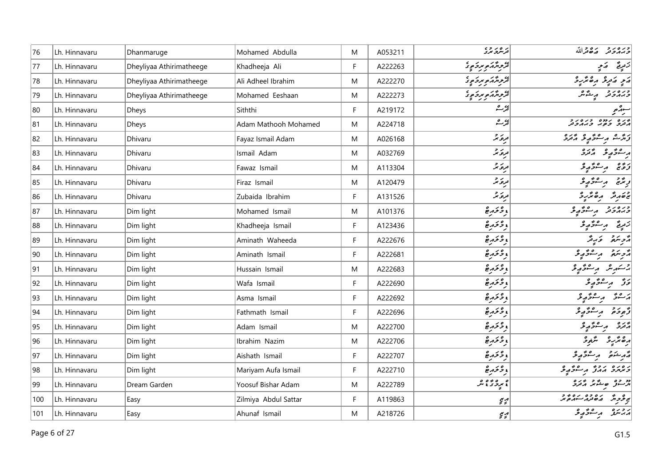| 76  | Lh. Hinnavaru | Dhanmaruge               | Mohamed Abdulla      | ${\sf M}$ | A053211 | ر ۱۵ ر و ۷<br>ترمگر تری                       | وره رو رووالله                             |
|-----|---------------|--------------------------|----------------------|-----------|---------|-----------------------------------------------|--------------------------------------------|
| 77  | Lh. Hinnavaru | Dheyliyaa Athirimatheege | Khadheeja Ali        | F         | A222263 | نه د در<br>تر د د د ه برد ه د د               | تزمریح    ایکالیم                          |
| 78  | Lh. Hinnavaru | Dheyliyaa Athirimatheege | Ali Adheel Ibrahim   | ${\sf M}$ | A222270 | لمستورة مركبة ويدة ويدة<br>المستريد المستورية | ړَي ږَ پره ره ټر د                         |
| 79  | Lh. Hinnavaru | Dheyliyaa Athirimatheege | Mohamed Eeshaan      | M         | A222273 | ا<br>ترمرمر مر سر سر دیگر<br>مر               | ورەرو مىشك                                 |
| 80  | Lh. Hinnavaru | Dheys                    | Siththi              | F         | A219172 | ي حر<br>قرمسگو                                | سىۋە                                       |
| 81  | Lh. Hinnavaru | Dheys                    | Adam Mathooh Mohamed | ${\sf M}$ | A224718 | ترے                                           | מנס נחזם כנסנב<br>הבנב בםיי ביהבב          |
| 82  | Lh. Hinnavaru | Dhivaru                  | Fayaz Ismail Adam    | M         | A026168 | مریح تر                                       | ز ژمک مرگور و په دره                       |
| 83  | Lh. Hinnavaru | Dhivaru                  | Ismail Adam          | ${\sf M}$ | A032769 | ورکر تر                                       | و عن و الله دره                            |
| 84  | Lh. Hinnavaru | Dhivaru                  | Fawaz Ismail         | ${\sf M}$ | A113304 | امریزیمه                                      | زءه په دوږ                                 |
| 85  | Lh. Hinnavaru | Dhivaru                  | Firaz Ismail         | M         | A120479 | امریز چر                                      | برىشۇرپۇ<br>ا پر پژمج<br>ا                 |
| 86  | Lh. Hinnavaru | Dhivaru                  | Zubaida Ibrahim      | F         | A131526 | و پر تر                                       | رەپرىر<br>حەم پىگە<br>ئ                    |
| 87  | Lh. Hinnavaru | Dim light                | Mohamed Ismail       | M         | A101376 | ووڅرمو                                        | כממכנג תשכתי                               |
| 88  | Lh. Hinnavaru | Dim light                | Khadheeja Ismail     | F         | A123436 | وتزره                                         | زَمِيعٌ پرِ وُ وُ وِ وُ                    |
| 89  | Lh. Hinnavaru | Dim light                | Aminath Waheeda      | F         | A222676 | ورحمزه                                        | أأدبتكم وكبائر                             |
| 90  | Lh. Hinnavaru | Dim light                | Aminath Ismail       | F         | A222681 | وتزره                                         | مزوسكم مسترخمو                             |
| 91  | Lh. Hinnavaru | Dim light                | Hussain Ismail       | ${\sf M}$ | A222683 | ورحمزه                                        | برسكريش وسفوهيو                            |
| 92  | Lh. Hinnavaru | Dim light                | Wafa Ismail          | F         | A222690 | ووڅرمو                                        | ئۇ بەستىۋەپىۋ                              |
| 93  | Lh. Hinnavaru | Dim light                | Asma Ismail          | F         | A222692 | وخرخره                                        | ړ ده په مرغونونو                           |
| 94  | Lh. Hinnavaru | Dim light                | Fathmath Ismail      | F         | A222696 | وتزرع                                         | وحدة ويحر<br>وٌموِ وَمُح                   |
| 95  | Lh. Hinnavaru | Dim light                | Adam Ismail          | ${\sf M}$ | A222700 | وتزرع                                         | یور ہ<br>مرکز پ<br>مەستىۋەپەتر             |
| 96  | Lh. Hinnavaru | Dim light                | Ibrahim Nazim        | ${\sf M}$ | A222706 | وتزره                                         | سَّنْجِرْ<br>ە ھەترىر <sup>ە</sup>         |
| 97  | Lh. Hinnavaru | Dim light                | Aishath Ismail       | F         | A222707 | $rac{1}{2}$                                   | مەر شىم بىر ئەر ئور                        |
| 98  | Lh. Hinnavaru | Dim light                | Mariyam Aufa Ismail  | F         | A222710 | ولحرقره                                       | גם גם גרף גם קבוב                          |
| 99  | Lh. Hinnavaru | Dream Garden             | Yoosuf Bishar Adam   | ${\sf M}$ | A222789 | ه پردې وي.<br>پې پېړۍ کې مګر                  | دو وه<br>در سوي صنعتی مرکز                 |
| 100 | Lh. Hinnavaru | Easy                     | Zilmiya Abdul Sattar | F         | A119863 | رسمج                                          | גם כם גם כב<br>גיס בתג — הם ב<br>بجو محرجر |
| 101 | Lh. Hinnavaru | Easy                     | Ahunaf Ismail        | ${\sf M}$ | A218726 | دسمج                                          | رزيره بالشرقية                             |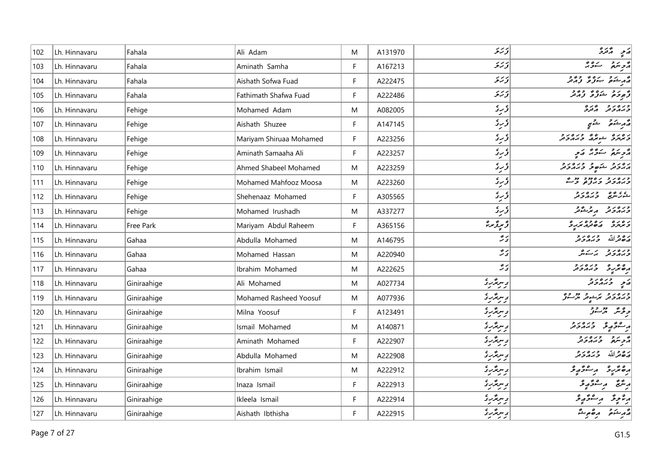| 102 | Lh. Hinnavaru | Fahala           | Ali Adam                | M  | A131970 | ۇزۇ                                    | $\begin{pmatrix} 0 & 0 & 0 \\ 0 & 0 & 0 \\ 0 & 0 & 0 \end{pmatrix}$ |
|-----|---------------|------------------|-------------------------|----|---------|----------------------------------------|---------------------------------------------------------------------|
| 103 | Lh. Hinnavaru | Fahala           | Aminath Samha           | F. | A167213 | قرترى                                  | أأوسم سود                                                           |
| 104 | Lh. Hinnavaru | Fahala           | Aishath Sofwa Fuad      | F  | A222475 | ۇزى                                    | و در ده و دود.<br>در شوم سووم وماند                                 |
| 105 | Lh. Hinnavaru | Fahala           | Fathimath Shafwa Fuad   | F. | A222486 | ۇزۇ                                    | و د د ده د دود<br>د کارو د شوره و در در                             |
| 106 | Lh. Hinnavaru | Fehige           | Mohamed Adam            | M  | A082005 | ې مړينې<br>م                           | כנסנכ שנם<br><i>כג</i> ובב ובנב                                     |
| 107 | Lh. Hinnavaru | Fehige           | Aishath Shuzee          | F  | A147145 | ې ر <sub>ې</sub><br>د                  | أقهر مشرح مشيمي                                                     |
| 108 | Lh. Hinnavaru | Fehige           | Mariyam Shiruaa Mohamed | F. | A223256 | ې<br>توريخ                             | נסנס ביסגדר<br>באחר ביאור במהכת                                     |
| 109 | Lh. Hinnavaru | Fehige           | Aminath Samaaha Ali     | F  | A223257 | ې<br>توري                              | أأدبتهم سكرمية أأرمح                                                |
| 110 | Lh. Hinnavaru | Fehige           | Ahmed Shabeel Mohamed   | M  | A223259 | ې<br>توري                              | גפנק ביפיד בגם ביר                                                  |
| 111 | Lh. Hinnavaru | Fehige           | Mohamed Mahfooz Moosa   | M  | A223260 | وربي                                   | ور ہ ر د د ر دو د و د د<br>ح پر برحالہ او براز فور اور سنگ          |
| 112 | Lh. Hinnavaru | Fehige           | Shehenaaz Mohamed       | F. | A305565 | ې<br>توري                              | ے میں درہ رد<br>شرکتری ویرمرفتر                                     |
| 113 | Lh. Hinnavaru | Fehige           | Mohamed Irushadh        | M  | A337277 | ې<br>توري                              | وره رو مرتز شده                                                     |
| 114 | Lh. Hinnavaru | <b>Free Park</b> | Mariyam Abdul Raheem    | F  | A365156 | ۇ بې <sub>رى</sub> ت <sup>ى</sup> رىئا | ג סגם גם בסגם                                                       |
| 115 | Lh. Hinnavaru | Gahaa            | Abdulla Mohamed         | M  | A146795 | ىزچ                                    | رە داللە دىرە دو                                                    |
| 116 | Lh. Hinnavaru | Gahaa            | Mohamed Hassan          | M  | A220940 | ىزچ                                    | ورەرو پەسكىر                                                        |
| 117 | Lh. Hinnavaru | Gahaa            | Ibrahim Mohamed         | M  | A222625 | ىزچ                                    | הפתיק במהכת                                                         |
| 118 | Lh. Hinnavaru | Giniraahige      | Ali Mohamed             | M  | A027734 | ى سر پۇر ئ <sup>ى</sup><br>بر س        | دره دره در                                                          |
| 119 | Lh. Hinnavaru | Giniraahige      | Mohamed Rasheed Yoosuf  | M  | A077936 | ى سر پۇرى<br>مەم                       | وره رو بر شوتر اور وه<br>د برابر تر بر شوتر اور دو                  |
| 120 | Lh. Hinnavaru | Giniraahige      | Milna Yoosuf            | F. | A123491 | ى سر پۇر ئ <sup>ى</sup><br>سر بىر      | جەمىگە ئەرجىتى بۇ                                                   |
| 121 | Lh. Hinnavaru | Giniraahige      | Ismail Mohamed          | M  | A140871 | ى سر پۇر ئ <sup>ى</sup><br>بر س        | بر عرصي ويرورو                                                      |
| 122 | Lh. Hinnavaru | Giniraahige      | Aminath Mohamed         | F  | A222907 | ى سر پۇر ئ <sup>ى</sup><br>بر س        | הכיתם במסגב                                                         |
| 123 | Lh. Hinnavaru | Giniraahige      | Abdulla Mohamed         | M  | A222908 | ى سر پۇر ئ <sup>ى</sup>                | و ره ر و<br>د بر د تر<br>برە تراللە                                 |
| 124 | Lh. Hinnavaru | Giniraahige      | Ibrahim Ismail          | M  | A222912 | ى سر پۇرى <sup>ي</sup><br>بر سر        | رەنزىر رىشۇر                                                        |
| 125 | Lh. Hinnavaru | Giniraahige      | Inaza Ismail            | F  | A222913 | ى سر پۇرى<br>مەسر                      | برىئى بەستۇپەتر                                                     |
| 126 | Lh. Hinnavaru | Giniraahige      | Ikleela Ismail          | F. | A222914 | ى سر پۇرى<br>برىر كىلىم                | برىئىچە پى<br>ەر ئاموقە                                             |
| 127 | Lh. Hinnavaru | Giniraahige      | Aishath Ibthisha        | F  | A222915 | ى سر پۇرى <sup>ي</sup><br>بر س         | ۇرىشكى رەم ش                                                        |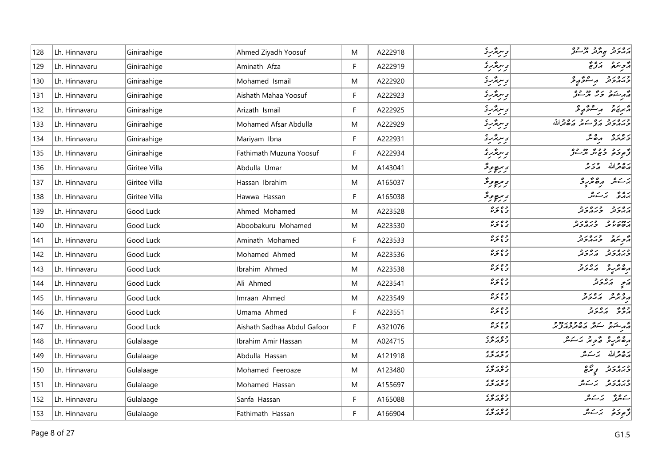| 128 | Lh. Hinnavaru | Giniraahige   | Ahmed Ziyadh Yoosuf         | M  | A222918 | ى سر پۇرى <sup>ي</sup><br>بر        |                                                         |
|-----|---------------|---------------|-----------------------------|----|---------|-------------------------------------|---------------------------------------------------------|
| 129 | Lh. Hinnavaru | Giniraahige   | Aminath Afza                | F. | A222919 | ى سر پۇرى <sup>ي</sup><br>بر        | أزويته أرومج                                            |
| 130 | Lh. Hinnavaru | Giniraahige   | Mohamed Ismail              | M  | A222920 | ى سر پۇر ئ <sup>ى</sup>             |                                                         |
| 131 | Lh. Hinnavaru | Giniraahige   | Aishath Mahaa Yoosuf        | F. | A222923 | ى سرىترىرى<br>مەسرىمىزىرى           | ه درو دو ده ده<br>مگرشوه در برسوژ                       |
| 132 | Lh. Hinnavaru | Giniraahige   | Arizath Ismail              | F  | A222925 | ى سر پۇرى<br>م                      | أيسرى موسود يو                                          |
| 133 | Lh. Hinnavaru | Giniraahige   | Mohamed Afsar Abdulla       | M  | A222929 | ى <sub>ە مىرىگىرىد</sub> ى<br>ئەرىر | ورەرو رە رو رە دەرالله                                  |
| 134 | Lh. Hinnavaru | Giniraahige   | Mariyam Ibna                | F  | A222931 | ى سر پۇرى <sup>ي</sup><br>بر        | ويرمز رهنگ                                              |
| 135 | Lh. Hinnavaru | Giniraahige   | Fathimath Muzuna Yoosuf     | F  | A222934 | ى سر پۇرى<br>سر بىر                 | و د د د ده د ده ده<br>د پوچمو څخه شريد                  |
| 136 | Lh. Hinnavaru | Giritee Villa | Abdulla Umar                | M  | A143041 | اړ بره ورځه<br><u>ريد ر</u>         | أرجع قرالله محرمته                                      |
| 137 | Lh. Hinnavaru | Giritee Villa | Hassan Ibrahim              | M  | A165037 | اړ بر <u>ه</u> و څه<br><u>ريږي</u>  | برسكش مرەغرىر                                           |
| 138 | Lh. Hinnavaru | Giritee Villa | Hawwa Hassan                | F. | A165038 | اړ بره ورځه<br><u>ريږ</u>           | برەپ برسكس                                              |
| 139 | Lh. Hinnavaru | Good Luck     | Ahmed Mohamed               | M  | A223528 | د ه بره<br>د ٤ څرم                  | ره رو دره رو<br>גرونر وبرونر                            |
| 140 | Lh. Hinnavaru | Good Luck     | Aboobakuru Mohamed          | M  | A223530 | د ه بره<br>د ٤ څر                   | و ره ر و<br>تر پر ژفر<br>נחני כר<br>גם סיטיב            |
| 141 | Lh. Hinnavaru | Good Luck     | Aminath Mohamed             | F  | A223533 | د ه بره<br>د ٤ څرم                  | أثر مرد ورەرد                                           |
| 142 | Lh. Hinnavaru | Good Luck     | Mohamed Ahmed               | M  | A223536 | د ه بره<br>د ٤ څر                   | כנסנכ נסנכ<br>כגמכת הגבת                                |
| 143 | Lh. Hinnavaru | Good Luck     | Ibrahim Ahmed               | M  | A223538 | د ه بره<br>د ٤ څرم                  | بر 2 ر ح<br>مربر <del>3</del> تر<br>اړه تر په و<br>ک    |
| 144 | Lh. Hinnavaru | Good Luck     | Ali Ahmed                   | M  | A223541 | د ه بره<br>د ٤ څرم                  | أرشح أركاد والمحمد                                      |
| 145 | Lh. Hinnavaru | Good Luck     | Imraan Ahmed                | M  | A223549 | د ه بره<br>د ٤ څرم                  | ود محمد مدرد د                                          |
| 146 | Lh. Hinnavaru | Good Luck     | Umama Ahmed                 | F  | A223551 | د ه بره<br>د ٤ څرم                  | ووو دورو                                                |
| 147 | Lh. Hinnavaru | Good Luck     | Aishath Sadhaa Abdul Gafoor | F  | A321076 | وه بره<br>د ٤ څرنړ                  | ه در در در دره دوه درد د<br>په دشتنی سنتر پره ترم تر بر |
| 148 | Lh. Hinnavaru | Gulalaage     | Ibrahim Amir Hassan         | M  | A024715 | و ه ر پر پر<br><b>ی نژ</b> برنوی    | معتر و محمد بر عمر                                      |
| 149 | Lh. Hinnavaru | Gulalaage     | Abdulla Hassan              | M  | A121918 | و ه بر پر پر<br><b>بر بحر</b> بر    | رَة قرالله برَسَة عر                                    |
| 150 | Lh. Hinnavaru | Gulalaage     | Mohamed Feeroaze            | M  | A123480 | و ه ر پر پر<br><sub>م</sub> ی مرگزی | وبرور ويرج                                              |
| 151 | Lh. Hinnavaru | Gulalaage     | Mohamed Hassan              | M  | A155697 | د ه د پر پر<br>د نوپرنو د           | ورەرو پەسەر                                             |
| 152 | Lh. Hinnavaru | Gulalaage     | Sanfa Hassan                | F. | A165088 | و ه ر پر پر<br><b>ی نژ</b> برنوی    | سەھەتە                                                  |
| 153 | Lh. Hinnavaru | Gulalaage     | Fathimath Hassan            | F  | A166904 | و ه بر پر پر<br>پر محرکو پر         | ق بوجو برسكس                                            |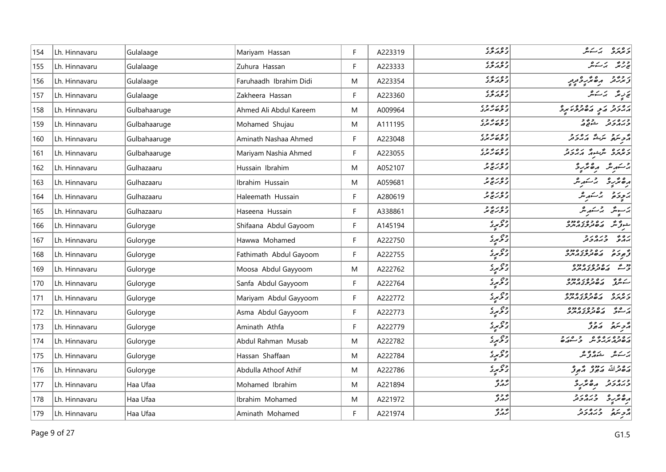| 154 | Lh. Hinnavaru | Gulalaage    | Mariyam Hassan         | F  | A223319 | و ه ر پر پر<br><b>ی نژ</b> برنوی          | دەرە يەسەر                                                             |
|-----|---------------|--------------|------------------------|----|---------|-------------------------------------------|------------------------------------------------------------------------|
| 155 | Lh. Hinnavaru | Gulalaage    | Zuhura Hassan          | F. | A223333 | و ه بر پر پ<br><b>ی نوبر</b> نوبی         | چرچو پرسکس                                                             |
| 156 | Lh. Hinnavaru | Gulalaage    | Faruhaadh Ibrahim Didi | M  | A223354 | و ه بر پر پر<br><b>بر بحر</b> بر          | و وو ده مره تر و و در د                                                |
| 157 | Lh. Hinnavaru | Gulalaage    | Zakheera Hassan        | F  | A223360 | و ه بر پر پر<br>پر نوگر                   | ىئ ئىر ئىگە ئىكەنلىر                                                   |
| 158 | Lh. Hinnavaru | Gulbahaaruge | Ahmed Ali Abdul Kareem | M  | A009964 | و ه ر بر و ،<br>د نوه ر برد               | נפנד ג'ב גם כפנד בר                                                    |
| 159 | Lh. Hinnavaru | Gulbahaaruge | Mohamed Shujau         | M  | A111195 | و ه ر بر و ،<br>د نون تر برد              | ور ه ر و د و و<br>تر پر پر پر د شوقے پر                                |
| 160 | Lh. Hinnavaru | Gulbahaaruge | Aminath Nashaa Ahmed   | F  | A223048 | و ه ر بر و ،<br>د <del>ن</del> ره ر برد   | أأد مرة الركبة المراداة                                                |
| 161 | Lh. Hinnavaru | Gulbahaaruge | Mariyam Nashia Ahmed   | F  | A223055 | و ه ر پر و ،<br>د <del>ن</del> ون تر بر د | ر 200 سر شور 1976.<br>3 <i>אית</i> 3 תוכת                              |
| 162 | Lh. Hinnavaru | Gulhazaaru   | Hussain Ibrahim        | M  | A052107 | و ه ر بر و<br>د نورنج نر                  | بر سکه شهر مره تر برد                                                  |
| 163 | Lh. Hinnavaru | Gulhazaaru   | Ibrahim Hussain        | M  | A059681 | و ه ر بر د<br>د نورنج ننر                 |                                                                        |
| 164 | Lh. Hinnavaru | Gulhazaaru   | Haleemath Hussain      | F  | A280619 | و ه بر بر و<br>ى نورىج مر                 | يَجِرْدَهُ لِمُسْتَهْرِسْ                                              |
| 165 | Lh. Hinnavaru | Gulhazaaru   | Haseena Hussain        | F  | A338861 | وه پر پر و<br>ئ محر <sup>ر</sup> بحر      | ىزىسونىڭ برگىسىرىكى<br>بەلگەنلەر                                       |
| 166 | Lh. Hinnavaru | Guloryge     | Shifaana Abdul Gayoom  | F. | A145194 | وه<br>  د څومړنه                          | د و ده ده ده ده ده ده<br>در وگس پر محمد در در در                       |
| 167 | Lh. Hinnavaru | Guloryge     | Hawwa Mohamed          | F  | A222750 | وه<br>  د څرمړنه                          | رەپ درەرد<br>بەھ <i>ב</i> بەمەت                                        |
| 168 | Lh. Hinnavaru | Guloryge     | Fathimath Abdul Gayoom | F  | A222755 | وه<br>د تومړي                             | ן ם כם ן ם דבם<br>גם בתיב ג חرב<br>وَّجِ حَرَمَ                        |
| 169 | Lh. Hinnavaru | Guloryge     | Moosa Abdul Gayyoom    | M  | A222762 | وه پر ۽<br>د فرمړن                        | ديو پڻ<br>ر ٥ ٥ ٥ ٥ ٥ مو ٥<br>۵ مى خرمى تى ور ور و                     |
| 170 | Lh. Hinnavaru | Guloryge     | Sanfa Abdul Gayyoom    | F. | A222764 | وہ مری<br>  د څومړنه                      | ر ه و ه ر ه دوه<br>پره تر پر تر پر<br>سەمىقە                           |
| 171 | Lh. Hinnavaru | Guloryge     | Mariyam Abdul Gayyoom  | F. | A222772 | وه پرې<br> د څو پېړۍ                      | ر ه و ه د ه دده<br>پره ترمز تر بر تر<br>ر ه ر ه<br><del>د</del> بربر د |
| 172 | Lh. Hinnavaru | Guloryge     | Asma Abdul Gayyoom     | F  | A222773 | وه پر ۽<br>پر موسي                        | ر ه و ه د ه دده<br>پره ترنو د بربر<br>برعبج                            |
| 173 | Lh. Hinnavaru | Guloryge     | Aminath Athfa          | F. | A222779 | وم<br>ى څرمړنگ                            | ړ د سره په<br>ەردى                                                     |
| 174 | Lh. Hinnavaru | Guloryge     | Abdul Rahman Musab     | M  | A222782 | وه<br>د څو پېړۍ                           | و عدده<br>ر ه و ه ر ه د ه<br>پره تر پر بر تر س                         |
| 175 | Lh. Hinnavaru | Guloryge     | Hassan Shaffaan        | M  | A222784 | و <i>0 ج</i><br>تر محر <i>مو</i> تر       | ىز سەش شەھەر ئىر                                                       |
| 176 | Lh. Hinnavaru | Guloryge     | Abdulla Athoof Athif   | M  | A222786 | و <i>0 ج</i><br>تر محر <i>پو</i> ر        | بره د <sub>اللّه</sub> پروه پر م                                       |
| 177 | Lh. Hinnavaru | Haa Ufaa     | Mohamed Ibrahim        | M  | A221894 | روو                                       | כנסנד סלים<br>בגתכת תסתנב                                              |
| 178 | Lh. Hinnavaru | Haa Ufaa     | Ibrahim Mohamed        | M  | A221972 | رژوژ                                      | و ر ه ر و<br><i>و پر</i> و تر<br>ە ھەترىر <sup>ە</sup>                 |
| 179 | Lh. Hinnavaru | Haa Ufaa     | Aminath Mohamed        | F. | A221974 | رژوژ                                      | و دره دره در                                                           |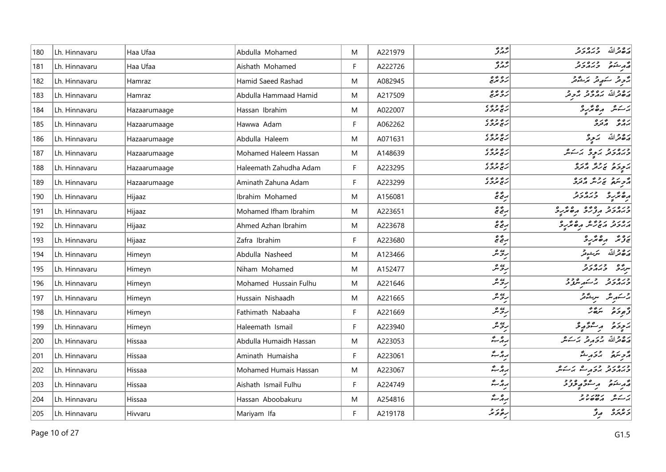| 180 | Lh. Hinnavaru | Haa Ufaa     | Abdulla Mohamed        | M           | A221979 | رژوژ                      | ەھەراللە<br>و رە ر د<br>تر پر تر تر                          |
|-----|---------------|--------------|------------------------|-------------|---------|---------------------------|--------------------------------------------------------------|
| 181 | Lh. Hinnavaru | Haa Ufaa     | Aishath Mohamed        | $\mathsf F$ | A222726 | روء                       | وأرشك وبره دو                                                |
| 182 | Lh. Hinnavaru | Hamraz       | Hamid Saeed Rashad     | M           | A082945 | ر و پر ہ                  | پروتر سکوپاتر ایرانشماتر<br> -<br>  پروتر سکوپاتر ایرانشماتر |
| 183 | Lh. Hinnavaru | Hamraz       | Abdulla Hammaad Hamid  | M           | A217509 | ر و پڑ ہ                  | ره والله بره و و و                                           |
| 184 | Lh. Hinnavaru | Hazaarumaage | Hassan Ibrahim         | M           | A022007 | ر ۶ و ۶ ی<br>رسخ مرو ی    | برسكش مرەغرىر                                                |
| 185 | Lh. Hinnavaru | Hazaarumaage | Hawwa Adam             | $\mathsf F$ | A062262 | ر پر و پر ی<br>تر بع بوری | رەپ پەرە                                                     |
| 186 | Lh. Hinnavaru | Hazaarumaage | Abdulla Haleem         | M           | A071631 | ر ۶ و ۶ ی<br>تر پخ بوری   | رەقىراللە برىچە                                              |
| 187 | Lh. Hinnavaru | Hazaarumaage | Mohamed Haleem Hassan  | M           | A148639 | ر ۶ و ۶ ی<br>رسخ بوری     | ورەر دېرو ټکس                                                |
| 188 | Lh. Hinnavaru | Hazaarumaage | Haleemath Zahudha Adam | F           | A223295 | ر ۶ و ۶ ی<br>رسخ مرو ی    | بر د د د د و د ده                                            |
| 189 | Lh. Hinnavaru | Hazaarumaage | Aminath Zahuna Adam    | $\mathsf F$ | A223299 | ر پر و پر ی<br>ربح بوری   | أأوسكم بمحارش المترو                                         |
| 190 | Lh. Hinnavaru | Hijaaz       | Ibrahim Mohamed        | M           | A156081 | برقعي                     | دە ئەرە دىرەرد                                               |
| 191 | Lh. Hinnavaru | Hijaaz       | Mohamed Ifham Ibrahim  | M           | A223651 | برقعط                     | כנהגבת הצייכ הסתיכ                                           |
| 192 | Lh. Hinnavaru | Hijaaz       | Ahmed Azhan Ibrahim    | M           | A223678 | برقعط                     | ג סגב גבש גם היי<br>ג גבת ג גיע גם <i>ג'י</i> ב              |
| 193 | Lh. Hinnavaru | Hijaaz       | Zafra Ibrahim          | $\mathsf F$ | A223680 | برقع                      | ى ئۇ ئەھمەر ئە                                               |
| 194 | Lh. Hinnavaru | Himeyn       | Abdulla Nasheed        | M           | A123466 | رىچىگە                    | مَدْ هُ مَّرْ اللَّهُ مَّ سَرَسْوِمْر                        |
| 195 | Lh. Hinnavaru | Himeyn       | Niham Mohamed          | M           | A152477 | ر <sup>ي ه</sup> ر        | سرجو ورەرو                                                   |
| 196 | Lh. Hinnavaru | Himeyn       | Mohamed Hussain Fulhu  | M           | A221646 | ريح مګر                   | ورەرو برگىرمورو                                              |
| 197 | Lh. Hinnavaru | Himeyn       | Hussain Nishaadh       | M           | A221665 | ريح مثر                   | رحم مسكورها المستحرر المستحرر                                |
| 198 | Lh. Hinnavaru | Himeyn       | Fathimath Nabaaha      | F           | A221669 | ريح مګر                   | و ده سره و                                                   |
| 199 | Lh. Hinnavaru | Himeyn       | Haleemath Ismail       | F           | A223940 | ريح مګر                   | بَرْدِدَة رِ وَ وَ وَ                                        |
| 200 | Lh. Hinnavaru | Hissaa       | Abdulla Humaidh Hassan | M           | A223053 | بروث                      | رە داللە جۇرىق ئەسەش                                         |
| 201 | Lh. Hinnavaru | Hissaa       | Aminath Humaisha       | F           | A223061 | بەرمىگە                   | أأدوسم بالمحمد المحمد                                        |
| 202 | Lh. Hinnavaru | Hissaa       | Mohamed Humais Hassan  | M           | A223067 | برە بە                    | ورەرو ور ئەكتەر                                              |
| 203 | Lh. Hinnavaru | Hissaa       | Aishath Ismail Fulhu   | F           | A224749 | رەبە                      | ومشمص مستحصفون                                               |
| 204 | Lh. Hinnavaru | Hissaa       | Hassan Aboobakuru      | M           | A254816 | بروث                      | 22722                                                        |
| 205 | Lh. Hinnavaru | Hivvaru      | Mariyam Ifa            | F           | A219178 | ره و د                    | رەرە مۇ                                                      |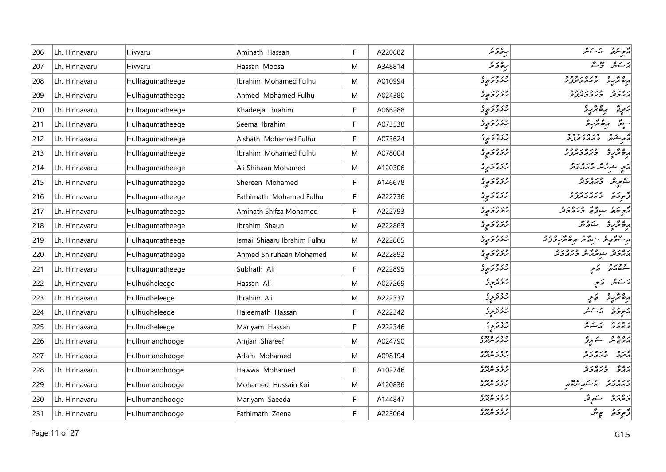| 206 | Lh. Hinnavaru | Hivvaru         | Aminath Hassan               | F  | A220682 | ە د د<br>بەھ بىر                           | ۇ جەمئە ئەسكەنلەر                                                      |
|-----|---------------|-----------------|------------------------------|----|---------|--------------------------------------------|------------------------------------------------------------------------|
| 207 | Lh. Hinnavaru | Hivvaru         | Hassan Moosa                 | M  | A348814 | ە د د<br>رەپىر                             | بزسەيىتىر<br>دو مح                                                     |
| 208 | Lh. Hinnavaru | Hulhagumatheege | Ibrahim Mohamed Fulhu        | M  | A010994 | د ر د ر پ<br>رند د د مړ                    | و ر ه ر و و و<br>تر پر تر تر تر تر<br>ەرھ ئ <sup>ۆ</sup> ر ۋ           |
| 209 | Lh. Hinnavaru | Hulhagumatheege | Ahmed Mohamed Fulhu          | M  | A024380 | ور ور<br>رکوکوکوکو                         | ر ە ر د<br>م.ر تر تر<br>۶ ۶ ۶ ۶ ۶ ۶ ۶ ۶<br>ق بر پر <del>ق</del> رقر عر |
| 210 | Lh. Hinnavaru | Hulhagumatheege | Khadeeja Ibrahim             | F  | A066288 | د ر د ر پ<br>رنگ د کوی                     | ەھترىرى<br>ئرتوقھ<br>ت                                                 |
| 211 | Lh. Hinnavaru | Hulhagumatheege | Seema Ibrahim                | F  | A073538 | ور ور<br>رنگ څخه تو ت                      | $\stackrel{\circ}{\mathcal{P}}_{\mathcal{P}}$<br>ەھ ئۈرۈ               |
| 212 | Lh. Hinnavaru | Hulhagumatheege | Aishath Mohamed Fulhu        | F  | A073624 | د ر د ر د پر<br>  ر ر د د و د              | ر<br>دگرم شوی                                                          |
| 213 | Lh. Hinnavaru | Hulhagumatheege | Ibrahim Mohamed Fulhu        | M  | A078004 | ور ور<br>رکوکوکوکو                         | 0 0 0 0 0 0 0 0 0 0 0<br>גי <i>ם ג'ניכ" כ.נ. ת</i> כנקצ                |
| 214 | Lh. Hinnavaru | Hulhagumatheege | Ali Shihaan Mohamed          | M  | A120306 | ور ور<br>رند <sub>و ک</sub> و <sub>ی</sub> | د و شوره دره در د                                                      |
| 215 | Lh. Hinnavaru | Hulhagumatheege | Shereen Mohamed              | F. | A146678 | ور ور<br>رکوکوکوکو                         | گوير ورورو                                                             |
| 216 | Lh. Hinnavaru | Hulhagumatheege | Fathimath Mohamed Fulhu      | F. | A222736 | د ر د ر پ<br>رنگ د کوی                     | و در دره دود.<br>ترجی در در دیرو                                       |
| 217 | Lh. Hinnavaru | Hulhagumatheege | Aminath Shifza Mohamed       | F  | A222793 | د ر د ر پ<br>رنز د کرم د                   | أروسكم والمعالج وبرود و                                                |
| 218 | Lh. Hinnavaru | Hulhagumatheege | Ibrahim Shaun                | M  | A222863 | ور ور پر<br>رند <sub>و کو</sub> ر          | رە ئرىر ئىمدىر                                                         |
| 219 | Lh. Hinnavaru | Hulhagumatheege | Ismail Shiaaru Ibrahim Fulhu | M  | A222865 | د ر د ر د پر<br>  ر ر د ر د پر             | ر موځ و څوړند ره نورون                                                 |
| 220 | Lh. Hinnavaru | Hulhagumatheege | Ahmed Shiruhaan Mohamed      | M  | A222892 | د بر د د پر پر<br>  برند تر پر پر          | رەر دېدى دەرەر دېرەرد<br>مەركى شەيرىدىن <i>دېرم</i> وتر                |
| 221 | Lh. Hinnavaru | Hulhagumatheege | Subhath Ali                  | F  | A222895 | ور ور<br>رنز <sub>و کو</sub> د             | سره بره در کرم                                                         |
| 222 | Lh. Hinnavaru | Hulhudheleege   | Hassan Ali                   | M  | A027269 | 3 د تر پ <sub>ر</sub> ي                    | برسەيىتى<br>ەتىر                                                       |
| 223 | Lh. Hinnavaru | Hulhudheleege   | Ibrahim Ali                  | M  | A222337 | 3 تر تر <sub>مج</sub> ر<br>م               | ەرھەترىر <sup>ى</sup>                                                  |
| 224 | Lh. Hinnavaru | Hulhudheleege   | Haleemath Hassan             | F. | A222342 | د د د پر پا<br>رندترنږ <sub>پر</sub>       | برسەپىر<br>برويزة                                                      |
| 225 | Lh. Hinnavaru | Hulhudheleege   | Mariyam Hassan               | F  | A222346 | و و ۽ <sub>و</sub> ي                       | ر ه ر ه<br><del>و</del> بربرو                                          |
| 226 | Lh. Hinnavaru | Hulhumandhooge  | Amjan Shareef                | M  | A024790 | و و ر ۵ دو ،<br>رند تر سربر ی              | رەم ئەستىر                                                             |
| 227 | Lh. Hinnavaru | Hulhumandhooge  | Adam Mohamed                 | M  | A098194 | و ور ۵ وو ،<br>مرنو <del>و</del> موتوری    | و رە ر د<br><i>د ب</i> رگرىز<br>په ره<br>د ترو                         |
| 228 | Lh. Hinnavaru | Hulhumandhooge  | Hawwa Mohamed                | F. | A102746 | و ور ۵ وو ،<br>مرنو <del>و</del> موتوری    | ر ہ ء<br>برادگ<br>و ره ر و<br>تر پر ژفر                                |
| 229 | Lh. Hinnavaru | Hulhumandhooge  | Mohamed Hussain Koi          | M  | A120836 | و و ر ۵ وو ،<br>رنو و سربور                | ورەرو ئەسكەندىكى                                                       |
| 230 | Lh. Hinnavaru | Hulhumandhooge  | Mariyam Saeeda               | F  | A144847 | و و ر ۵ وو ،<br>مرنوکو سرلوری              | ر ه ر ه<br><del>و</del> بربرو                                          |
| 231 | Lh. Hinnavaru | Hulhumandhooge  | Fathimath Zeena              | F. | A223064 | و ور ۵ وو ،<br>مرنو <del>و</del> موتور     | ۇ <sub>ج</sub> وڭ <sub>ۇ سې</sub> تر                                   |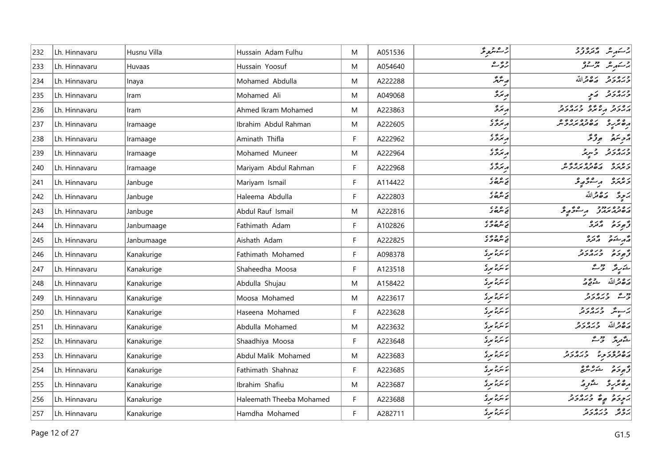| 232 | Lh. Hinnavaru | Husnu Villa | Hussain Adam Fulhu       | M         | A051536 | ا <u>رْ -</u> مِنْ <sub>عِي</sub> عَه | ا چرک میں مقبر مقبر دی دی۔<br>ایر سکھر میں مقبر مقبر دیکھ دیکھ |
|-----|---------------|-------------|--------------------------|-----------|---------|---------------------------------------|----------------------------------------------------------------|
| 233 | Lh. Hinnavaru | Huvaas      | Hussain Yoosuf           | M         | A054640 | ر پۇ شە                               | ج سے مدد جاتھ ہوتا ہے۔<br>پاکستان کے اسرائی                    |
| 234 | Lh. Hinnavaru | Inaya       | Mohamed Abdulla          | M         | A222288 | ەرشىز                                 | وره رو ده دالله                                                |
| 235 | Lh. Hinnavaru | <b>Iram</b> | Mohamed Ali              | M         | A049068 | ە ئىرچ                                | ورەرو كەي                                                      |
| 236 | Lh. Hinnavaru | Iram        | Ahmed Ikram Mohamed      | M         | A223863 | مرتنز                                 | נסנד השימי דנסנד<br>הגבת השי <i>תב בגהבת</i>                   |
| 237 | Lh. Hinnavaru | Iramaage    | Ibrahim Abdul Rahman     | M         | A222605 | د برو ،<br>د برژ د                    | פש כ נפרסנסטים                                                 |
| 238 | Lh. Hinnavaru | Iramaage    | Aminath Thifla           | F         | A222962 | ر بو »<br>پر بوری                     | أأرمز ووقر                                                     |
| 239 | Lh. Hinnavaru | Iramaage    | Mohamed Muneer           | ${\sf M}$ | A222964 | ەر بىرى ئ                             | כממכני כיתול                                                   |
| 240 | Lh. Hinnavaru | Iramaage    | Mariyam Abdul Rahman     | F         | A222968 | د برو ،                               | ג סגם גם כם גם גם.<br>כאת הכל השינו <i>ת אגר</i> בית           |
| 241 | Lh. Hinnavaru | Janbuge     | Mariyam Ismail           | F         | A114422 | ر ه و ء<br>قع سرگان                   | במתכ תייתותים                                                  |
| 242 | Lh. Hinnavaru | Janbuge     | Haleema Abdulla          | F         | A222803 | ر ۵ ۶ ء<br>قع سر <i>ھ ی</i>           | بَرْجِرَةً صَدَّدَاللَّهُ                                      |
| 243 | Lh. Hinnavaru | Janbuge     | Abdul Rauf Ismail        | ${\sf M}$ | A222816 | ر ۵ ۶ ء<br>قع سر <i>ھ ی</i>           | גם כם גדבר התשיבת ב                                            |
| 244 | Lh. Hinnavaru | Janbumaage  | Fathimath Adam           | F         | A102826 | ر ه د و و ،<br>تع سرچ تر ی            | توجدة مترده                                                    |
| 245 | Lh. Hinnavaru | Janbumaage  | Aishath Adam             | F         | A222825 | ر ه د و و ،<br>د سره تر د             | أحدث فيره                                                      |
| 246 | Lh. Hinnavaru | Kanakurige  | Fathimath Mohamed        | F         | A098378 | ئەنئەرىمى تەرى                        | و ده دره دره                                                   |
| 247 | Lh. Hinnavaru | Kanakurige  | Shaheedha Moosa          | F         | A123518 | ئەنئەرىمىرى                           | شربر وحرث                                                      |
| 248 | Lh. Hinnavaru | Kanakurige  | Abdulla Shujau           | ${\sf M}$ | A158422 | ئەنئەرىقىمىزى                         | مَرْهُ قَرَاللّه شَوْقَهُ مِ                                   |
| 249 | Lh. Hinnavaru | Kanakurige  | Moosa Mohamed            | M         | A223617 | ىر ئەرە بىرى<br>مەسرىما ئىرى          | وره دره دره                                                    |
| 250 | Lh. Hinnavaru | Kanakurige  | Haseena Mohamed          | F         | A223628 | ىر بەر جەرى<br>مەمىرىمە بىرى          | ر دره در در د                                                  |
| 251 | Lh. Hinnavaru | Kanakurige  | Abdulla Mohamed          | M         | A223632 | ىر بەر جەرى<br>بىر ئىبرىرى            | ەھىراللە<br>و رە ر د<br>تر پروتر                               |
| 252 | Lh. Hinnavaru | Kanakurige  | Shaadhiya Moosa          | F         | A223648 | ئەنئەرىم بىرى                         | شَمْرِيرٌ وَ"                                                  |
| 253 | Lh. Hinnavaru | Kanakurige  | Abdul Malik Mohamed      | ${\sf M}$ | A223683 | ئەنئىرىقىمىزى                         | גם כפי כי כי היב                                               |
| 254 | Lh. Hinnavaru | Kanakurige  | Fathimath Shahnaz        | F         | A223685 | ر ر د<br>ما متر تا محر د              | ژ <sub>م</sub> وڅو څرشع                                        |
| 255 | Lh. Hinnavaru | Kanakurige  | Ibrahim Shafiu           | ${\sf M}$ | A223687 | ئەسرىرىمىرى                           | رەپرىر شرور                                                    |
| 256 | Lh. Hinnavaru | Kanakurige  | Haleemath Theeba Mohamed | F         | A223688 | ىر ئەرە بىرى<br>مەسرىيا ئىرى          |                                                                |
| 257 | Lh. Hinnavaru | Kanakurige  | Hamdha Mohamed           | F         | A282711 | ئەسرىز بىر ئ                          | ره دره رد<br>بروتر وبرمرد                                      |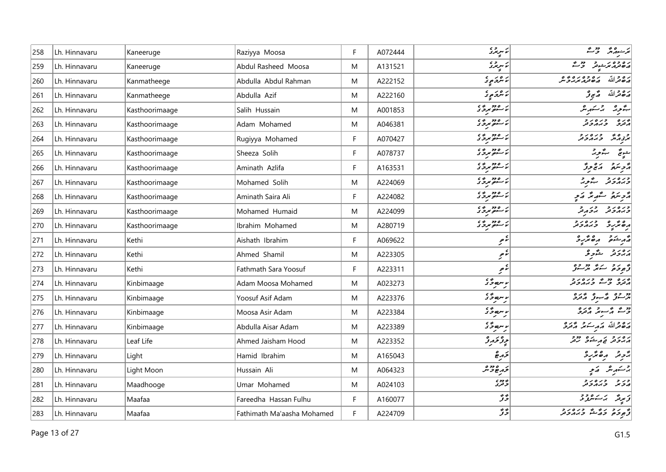| 258 | Lh. Hinnavaru |                | Raziyya Moosa              | F  | A072444 | ئەمىرىرى<br>س                              | ىر شەرەر مەسىر<br>بىر سىزلەر                                                                                                                                                                                                     |
|-----|---------------|----------------|----------------------------|----|---------|--------------------------------------------|----------------------------------------------------------------------------------------------------------------------------------------------------------------------------------------------------------------------------------|
|     |               | Kaneeruge      |                            |    |         | ر<br>ما سرچري                              |                                                                                                                                                                                                                                  |
| 259 | Lh. Hinnavaru | Kaneeruge      | Abdul Rasheed Moosa        | M  | A131521 |                                            | ג 2000 בית ידי בין הרי היו הרי היו היו היו היו היו היו היו היו היו לי היו היו לי היו לי היו לי היו לי היו לי ה<br>היו לי היו לי היו לי היו לי היו לי היו לי היו לי היו לי היו לי היו לי היו לי היו לי היו לי היו לי היו לי היו ל |
| 260 | Lh. Hinnavaru | Kanmatheege    | Abdulla Abdul Rahman       | M  | A222152 | <br>  مَا مَرْدَ مِي دَ                    | ره وه ره ده ه<br>پره تربر تر س<br>برە تراللە                                                                                                                                                                                     |
| 261 | Lh. Hinnavaru | Kanmatheege    | Abdulla Azif               | M  | A222160 | بزېږې ته د                                 | برە دالله گەبىر د                                                                                                                                                                                                                |
| 262 | Lh. Hinnavaru | Kasthoorimaage | Salih Hussain              | M  | A001853 | ر ۶۵۰۰ وي.<br>ما سوه برد د                 | بڈىر بر<br>جرىسەر بىر                                                                                                                                                                                                            |
| 263 | Lh. Hinnavaru | Kasthoorimaage | Adam Mohamed               | M  | A046381 | ر ۶۵ وجو در در در حالی<br>ما مسلوم پروژ در | برده وره رو<br><i>م</i> ګرو وبرمرونر                                                                                                                                                                                             |
| 264 | Lh. Hinnavaru | Kasthoorimaage | Rugiyya Mohamed            | F  | A070427 | ر ره دو په دي<br>پاکستونو پروگ             | و وه در ورود                                                                                                                                                                                                                     |
| 265 | Lh. Hinnavaru | Kasthoorimaage | Sheeza Solih               | F  | A078737 | ر ۶۵ ور در در<br>ما سوم برد د              | حويج المبكو <i>رة</i>                                                                                                                                                                                                            |
| 266 | Lh. Hinnavaru | Kasthoorimaage | Aminath Azlifa             | F  | A163531 | ر ره دو په دي<br>پاکستونو پروگ             | أأدبتكم المفرقر                                                                                                                                                                                                                  |
| 267 | Lh. Hinnavaru | Kasthoorimaage | Mohamed Solih              | M  | A224069 | ر ره دو په په<br>پاکستونو پروگ             | و ره ر و<br>تر پر تر تر<br>سەّور                                                                                                                                                                                                 |
| 268 | Lh. Hinnavaru | Kasthoorimaage | Aminath Saira Ali          | F  | A224082 | ر ودو دی<br>ما سوم برد د                   | مزجر متمر مستهر بمداريخ وكالمحي                                                                                                                                                                                                  |
| 269 | Lh. Hinnavaru | Kasthoorimaage | Mohamed Humaid             | M  | A224099 | ر ۶۵۰۰ ور<br>ما سوه برو د                  | כנסנכ כל כ                                                                                                                                                                                                                       |
| 270 | Lh. Hinnavaru | Kasthoorimaage | Ibrahim Mohamed            | M  | A280719 | ر ۶۵۰۰ ور<br>تا سوم برد د                  | و رە ر د<br><i>د بە</i> پەر<br>ە ھەترىر <sup>ە</sup>                                                                                                                                                                             |
| 271 | Lh. Hinnavaru | Kethi          | Aishath Ibrahim            | F  | A069622 | تنمعج                                      | پ <sup>ر</sup> مرشومی<br>مرگ<br>دە ئۆرۈ                                                                                                                                                                                          |
| 272 | Lh. Hinnavaru | Kethi          | Ahmed Shamil               | M  | A223305 | ء<br>موھ                                   | رەر دىگەر                                                                                                                                                                                                                        |
| 273 | Lh. Hinnavaru | Kethi          | Fathmath Sara Yoosuf       | F  | A223311 | اءِ<br>اعو                                 | تح رو ري دو وه<br>توجوجو سنتر الرسنق                                                                                                                                                                                             |
| 274 | Lh. Hinnavaru | Kinbimaage     | Adam Moosa Mohamed         | M  | A023273 | קייקוס בי                                  | پره دو په وره رو<br>مرترو و شو ورماوتر                                                                                                                                                                                           |
| 275 | Lh. Hinnavaru | Kinbimaage     | Yoosuf Asif Adam           | M  | A223376 | $rac{c}{s}$ g $rac{c}{s}$                  | أورجوه ومسوفه ومترد                                                                                                                                                                                                              |
| 276 | Lh. Hinnavaru | Kinbimaage     | Moosa Asir Adam            | M  | A223384 | $rac{c}{s}$ <i>s</i> s ar $v^{1}$          | ده شه په سرچ په ده                                                                                                                                                                                                               |
| 277 | Lh. Hinnavaru | Kinbimaage     | Abdulla Aisar Adam         | M  | A223389 | <br>  سرچ دی<br>  مسرچ                     | برە دالله مەرىكى مەمرد                                                                                                                                                                                                           |
| 278 | Lh. Hinnavaru | Leaf Life      | Ahmed Jaisham Hood         | M  | A223352 | ووڅهرو                                     | גפגב <sub>באק</sub> בצב כבר                                                                                                                                                                                                      |
| 279 | Lh. Hinnavaru | Light          | Hamid Ibrahim              | M  | A165043 | ځه هخ                                      | بحرقر مرەبجرىرى                                                                                                                                                                                                                  |
| 280 | Lh. Hinnavaru | Light Moon     | Hussain Ali                | M  | A064323 | ىر مەددە<br>مەرھ                           | جر شهر شه مرکب<br>مراجع شهر مرکب                                                                                                                                                                                                 |
| 281 | Lh. Hinnavaru | Maadhooge      | Umar Mohamed               | M  | A024103 | ږ دو بر<br>تر تر پ                         | כנ כנסנב<br>גביל במבב                                                                                                                                                                                                            |
| 282 | Lh. Hinnavaru | Maafaa         | Fareedha Hassan Fulhu      | F  | A160077 | ژًڑ                                        | تۇيرىگە كەسكەنلەرنى                                                                                                                                                                                                              |
| 283 | Lh. Hinnavaru | Maafaa         | Fathimath Ma'aasha Mohamed | F. | A224709 | وٌوٌ                                       | و د د دره وره د                                                                                                                                                                                                                  |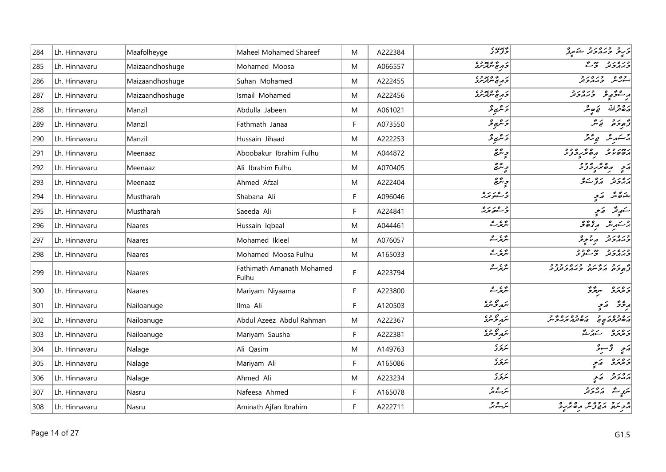| 284 | Lh. Hinnavaru | Maafolheyge     | <b>Maheel Mohamed Shareef</b>      | M | A222384 | ه بودن تا<br>ترکوکو ت                              | ورو ورەرو خىرو                                                                                        |
|-----|---------------|-----------------|------------------------------------|---|---------|----------------------------------------------------|-------------------------------------------------------------------------------------------------------|
| 285 | Lh. Hinnavaru | Maizaandhoshuge | Mohamed Moosa                      | M | A066557 | ر په ۱۶ ورو د<br>تر د مخ سرتر سرو                  | وره دو دور                                                                                            |
| 286 | Lh. Hinnavaru | Maizaandhoshuge | Suhan Mohamed                      | M | A222455 | ر په ۱۶۵۵ و د<br>تر در پی سرفرسری                  | روم ورەرو                                                                                             |
| 287 | Lh. Hinnavaru | Maizaandhoshuge | Ismail Mohamed                     | M | A222456 | ئەرى <i>ج م</i> ۇيىرىرى<br>قەرى <i>ق مۇيىرىر</i> ى | ر عرٌ پر وره دو                                                                                       |
| 288 | Lh. Hinnavaru | Manzil          | Abdulla Jabeen                     | M | A061021 | ځ مثنې څه                                          | بره والله تحصره                                                                                       |
| 289 | Lh. Hinnavaru | Manzil          | Fathmath Janaa                     | F | A073550 | ئەشىر ۋ                                            | وٌ و د و سر مگر                                                                                       |
| 290 | Lh. Hinnavaru | Manzil          | Hussain Jihaad                     | M | A222253 | ځەمبوقر                                            | برستهر ش پر شرقر                                                                                      |
| 291 | Lh. Hinnavaru | Meenaaz         | Aboobakur Ibrahim Fulhu            | M | A044872 | جرىترچ                                             | גמני כל הפיציב כל כל                                                                                  |
| 292 | Lh. Hinnavaru | Meenaaz         | Ali Ibrahim Fulhu                  | M | A070405 | جريثي                                              | גן גם ביני                                                                                            |
| 293 | Lh. Hinnavaru | Meenaaz         | Ahmed Afzal                        | M | A222404 | جريثي                                              | أرەر دەردە                                                                                            |
| 294 | Lh. Hinnavaru | Mustharah       | Shabana Ali                        | F | A096046 | و __ <i>ەر رە</i>                                  | أينتقش كمو                                                                                            |
| 295 | Lh. Hinnavaru | Mustharah       | Saeeda Ali                         | F | A224841 | و ے ر ر ه<br>د سوړند                               | لتنهيش الكعج                                                                                          |
| 296 | Lh. Hinnavaru | <b>Naares</b>   | Hussain Iqbaal                     | M | A044461 | ىئرىزىشە                                           |                                                                                                       |
| 297 | Lh. Hinnavaru | Naares          | Mohamed Ikleel                     | M | A076057 | متر پر ہ                                           | ورەرە رايو                                                                                            |
| 298 | Lh. Hinnavaru | Naares          | Mohamed Moosa Fulhu                | M | A165033 | متر پر ہ                                           | כנסני מישוב<br><i>כג</i> ובט ב <del>י</del> נל                                                        |
| 299 | Lh. Hinnavaru | <b>Naares</b>   | Fathimath Amanath Mohamed<br>Fulhu | F | A223794 | متر پر ہ                                           | ه رد ره رد دره رود.<br>ژَهروه مرسره درمرترزن                                                          |
| 300 | Lh. Hinnavaru | <b>Naares</b>   | Mariyam Niyaama                    | F | A223800 | ىئرىزىشە                                           | ر ه ر ه<br>د بربرگ<br>سرژڅ                                                                            |
| 301 | Lh. Hinnavaru | Nailoanuge      | Ilma Ali                           | F | A120503 | يئد وهيد                                           | ړ وی کمنې                                                                                             |
| 302 | Lh. Hinnavaru | Nailoanuge      | Abdul Azeez Abdul Rahman           | M | A222367 | يئدى و ،                                           | 10101 - 10201017<br>גפיתובגמ בי גפיתו ההבית                                                           |
| 303 | Lh. Hinnavaru | Nailoanuge      | Mariyam Sausha                     | F | A222381 | سرە ئەرى                                           | ر ه ر ه<br><del>د</del> بربرگ<br>سەرقىقە                                                              |
| 304 | Lh. Hinnavaru | Nalage          | Ali Qasim                          | M | A149763 | ىر يە<br>سربۇ ئ                                    | أوسمج تخرجوهم                                                                                         |
| 305 | Lh. Hinnavaru | Nalage          | Mariyam Ali                        | F | A165086 | ىر يە<br>سىرىتى ئ                                  | ر ه ر ه<br>ەتىر                                                                                       |
| 306 | Lh. Hinnavaru | Nalage          | Ahmed Ali                          | M | A223234 | ىر يە<br>سىرىتى ئ                                  | ره رو په په                                                                                           |
| 307 | Lh. Hinnavaru | Nasru           | Nafeesa Ahmed                      | F | A165078 | ىر مە ج                                            | سَمِي سَمَّ مَ يَرْجَعَهِ                                                                             |
| 308 | Lh. Hinnavaru | Nasru           | Aminath Ajfan Ibrahim              | F | A222711 | ىر بە ج                                            | أد يتم المعافر المستقرير المحمد المحمد المحمد المحمد المحمد المحمد المحمد المحمد المحمد المحمد المحمد |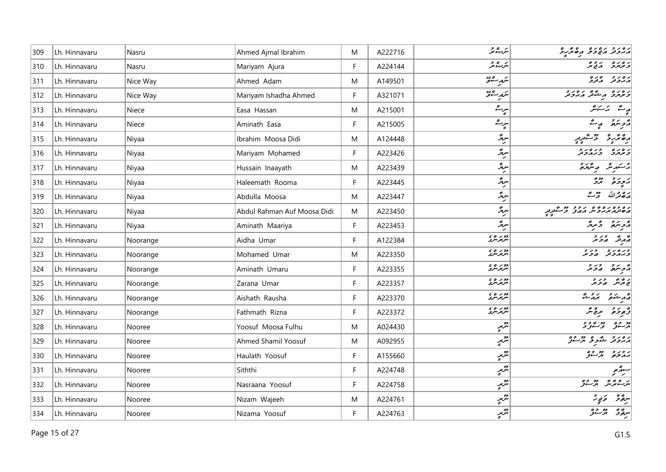| 309   | Lh. Hinnavaru | Nasru    | Ahmed Ajmal Ibrahim         | M           | A222716 | ىئەبەيىتى              | ן פיני נפיכי נפיקים                                 |
|-------|---------------|----------|-----------------------------|-------------|---------|------------------------|-----------------------------------------------------|
| 310   | Lh. Hinnavaru | Nasru    | Mariyam Ajura               | F           | A224144 | ىئەبەقر                | د ۱۵ د ۲۵ د پر                                      |
| $311$ | Lh. Hinnavaru | Nice Way | Ahmed Adam                  | M           | A149501 | لتنديقو                | ره رح ده<br>مربرو تر مرکز                           |
| $312$ | Lh. Hinnavaru | Nice Way | Mariyam Ishadha Ahmed       | F.          | A321071 | لتنديقو                | وبروى مستمتر مهدوند                                 |
| 313   | Lh. Hinnavaru | Niece    | Easa Hassan                 | ${\sf M}$   | A215001 | سريمه                  | أمرت بركبش                                          |
| 314   | Lh. Hinnavaru | Niece    | Aminath Easa                | $\mathsf F$ | A215005 | سريمه                  |                                                     |
| 315   | Lh. Hinnavaru | Niyaa    | Ibrahim Moosa Didi          | M           | A124448 | سرچڙ                   | ە ئەرەر ئەستىرىر<br>مەھەر ئەستىرىر                  |
| 316   | Lh. Hinnavaru | Niyaa    | Mariyam Mohamed             | F           | A223426 | سرچر                   | ره ره در درو                                        |
| 317   | Lh. Hinnavaru | Niyaa    | Hussain Inaayath            | M           | A223439 | سرچر                   | ج سکوینگر او متعده                                  |
| 318   | Lh. Hinnavaru | Niyaa    | Haleemath Rooma             | F.          | A223445 | سرچر                   | پرېږې<br>بزج                                        |
| 319   | Lh. Hinnavaru | Niyaa    | Abdulla Moosa               | M           | A223447 | سرچر                   | مَدْهِ قَدْ اللّه حَقْ تَ                           |
| 320   | Lh. Hinnavaru | Niyaa    | Abdul Rahman Auf Moosa Didi | M           | A223450 | سرچر                   | גם כם גם גם בדי חדשית.<br>גם בתג הגובית הגני בילינג |
| 321   | Lh. Hinnavaru | Niyaa    | Aminath Maariya             | $\mathsf F$ | A223453 | سرچر                   |                                                     |
| 322   | Lh. Hinnavaru | Noorange | Aidha Umar                  | F.          | A122384 | دد بر ه ،<br>سرپرسر    | و در در د                                           |
| 323   | Lh. Hinnavaru | Noorange | Mohamed Umar                | M           | A223350 | دد بر ه ،<br>مربر مربر | כנסנכ כנכ                                           |
| 324   | Lh. Hinnavaru | Noorange | Aminath Umaru               | F           | A223355 | دد بر ه ،<br>سرپرسر    |                                                     |
| 325   | Lh. Hinnavaru | Noorange | Zarana Umar                 | F.          | A223357 | دد ر ه ،<br>سرپرسر     |                                                     |
| 326   | Lh. Hinnavaru | Noorange | Aishath Rausha              | F.          | A223370 | دد بر ه ،<br>سرپرسر    | أقرم شكوم المروشة                                   |
| 327   | Lh. Hinnavaru | Noorange | Fathmath Rizna              | $\mathsf F$ | A223372 | دد بر ه پر<br>سرپرسر   | أزودة برج تر                                        |
| 328   | Lh. Hinnavaru | Nooree   | Yoosuf Moosa Fulhu          | M           | A024430 | لترميه                 | دو ده دو در دو د                                    |
| 329   | Lh. Hinnavaru | Nooree   | <b>Ahmed Shamil Yoosuf</b>  | M           | A092955 | لترمير                 | ره رو گروه دو وه<br>مردوند گروه مرسو                |
| 330   | Lh. Hinnavaru | Nooree   | Haulath Yoosuf              | F           | A155660 | لترمير                 | ג כג כ נכנס<br>ג הג כם נג יש                        |
| 331   | Lh. Hinnavaru | Nooree   | Siththi                     | $\mathsf F$ | A224748 | لترمير                 | سوړه<br>ر                                           |
| 332   | Lh. Hinnavaru | Nooree   | Nasraana Yoosuf             | F           | A224758 | يتزبير                 | ىر قىر ئىل مەر دە                                   |
| 333   | Lh. Hinnavaru | Nooree   | Nizam Wajeeh                | M           | A224761 | لترمير                 | سرچٌو وَمِيرٌ                                       |
| 334   | Lh. Hinnavaru | Nooree   | Nizama Yoosuf               | F.          | A224763 | لترمير                 | سرچينې ده ده.                                       |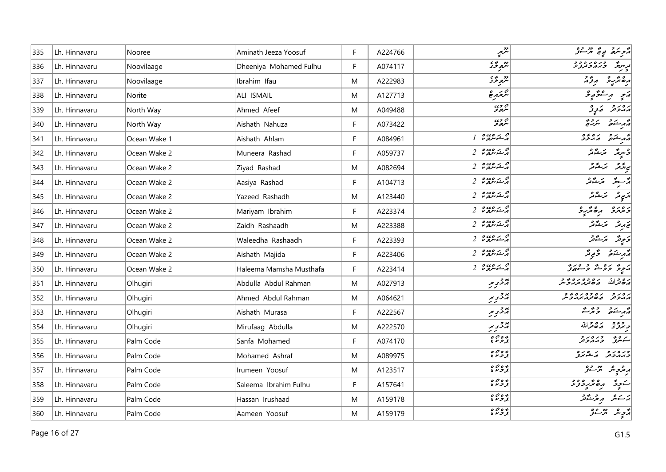| 335 | Lh. Hinnavaru | Nooree       | Aminath Jeeza Yoosuf    | F         | A224766 | لترميه                                                                                                                                                                                                                                                                                                                          | أَمُّ حِ سَمَّةٍ فَي تَمْ سَنْرٌ وَمَ                                                                                                                                                                                               |
|-----|---------------|--------------|-------------------------|-----------|---------|---------------------------------------------------------------------------------------------------------------------------------------------------------------------------------------------------------------------------------------------------------------------------------------------------------------------------------|-------------------------------------------------------------------------------------------------------------------------------------------------------------------------------------------------------------------------------------|
| 336 | Lh. Hinnavaru | Noovilaage   | Dheeniya Mohamed Fulhu  | F         | A074117 | دد په په<br>سر <sub>گرم</sub> ونو                                                                                                                                                                                                                                                                                               | د دره د دور <del>.</del><br>در سرگر د بروتروند                                                                                                                                                                                      |
| 337 | Lh. Hinnavaru | Noovilaage   | Ibrahim Ifau            | ${\sf M}$ | A222983 | دد د ،<br>متره پرې                                                                                                                                                                                                                                                                                                              | وە ئەر ئەۋە                                                                                                                                                                                                                         |
| 338 | Lh. Hinnavaru | Norite       | ALI ISMAIL              | M         | A127713 | ترىرىر ھ                                                                                                                                                                                                                                                                                                                        | أروم برام والمحموم والمحمد                                                                                                                                                                                                          |
| 339 | Lh. Hinnavaru | North Way    | Ahmed Afeef             | M         | A049488 | ە دى<br>سرە ۋ                                                                                                                                                                                                                                                                                                                   | رەرد كەرد                                                                                                                                                                                                                           |
| 340 | Lh. Hinnavaru | North Way    | Aishath Nahuza          | F         | A073422 | ە دى<br>سرە ۋ                                                                                                                                                                                                                                                                                                                   | أقرم يستوصح المترزنج                                                                                                                                                                                                                |
| 341 | Lh. Hinnavaru | Ocean Wake 1 | Aishath Ahlam           | F         | A084961 | م د موده 1                                                                                                                                                                                                                                                                                                                      | $rac{1}{25}$                                                                                                                                                                                                                        |
| 342 | Lh. Hinnavaru | Ocean Wake 2 | Muneera Rashad          | F         | A059737 | ە يەھ يەم 2                                                                                                                                                                                                                                                                                                                     | د سرپر کرکے قر                                                                                                                                                                                                                      |
| 343 | Lh. Hinnavaru | Ocean Wake 2 | Ziyad Rashad            | M         | A082694 | م شەھەم 2                                                                                                                                                                                                                                                                                                                       | ى <sub>ج</sub> ەرگەر سىمىشەتر                                                                                                                                                                                                       |
| 344 | Lh. Hinnavaru | Ocean Wake 2 | Aasiya Rashad           | F         | A104713 | م شەھەم 2                                                                                                                                                                                                                                                                                                                       | ة سور برخود.<br>ا                                                                                                                                                                                                                   |
| 345 | Lh. Hinnavaru | Ocean Wake 2 | Yazeed Rashadh          | M         | A123440 | ە يەھ يەم 2                                                                                                                                                                                                                                                                                                                     | ىزى <sub>م</sub> ەتر - ئەش <sup>ى</sup> قەر                                                                                                                                                                                         |
| 346 | Lh. Hinnavaru | Ocean Wake 2 | Mariyam Ibrahim         | F         | A223374 | م شەھەم 2                                                                                                                                                                                                                                                                                                                       | ومره مصريره                                                                                                                                                                                                                         |
| 347 | Lh. Hinnavaru | Ocean Wake 2 | Zaidh Rashaadh          | M         | A223388 | م شەھەم 2                                                                                                                                                                                                                                                                                                                       | ىجەر قرىشى قرىشى ئى                                                                                                                                                                                                                 |
| 348 | Lh. Hinnavaru | Ocean Wake 2 | Waleedha Rashaadh       | F         | A223393 | م د وه و 2<br>م شوسرو 2                                                                                                                                                                                                                                                                                                         | كالمحيض الكرستي والمحمد                                                                                                                                                                                                             |
| 349 | Lh. Hinnavaru | Ocean Wake 2 | Aishath Majida          | F         | A223406 | ە يەھ يەم 2                                                                                                                                                                                                                                                                                                                     | أقهر يشكم وتحفيظ                                                                                                                                                                                                                    |
| 350 | Lh. Hinnavaru | Ocean Wake 2 | Haleema Mamsha Musthafa | F         | A223414 | م شەھەم 2                                                                                                                                                                                                                                                                                                                       | رَ وَحَ وَحَدٌ وَجَمَعَ وَ                                                                                                                                                                                                          |
| 351 | Lh. Hinnavaru | Olhugiri     | Abdulla Abdul Rahman    | M         | A027913 | پر و<br>  در بی مر                                                                                                                                                                                                                                                                                                              | ر ٥ ٥ ٥ ٥ ٥ ٥ ٠<br>در ۰ تر ۱ <i>۸ بر بر تر</i> س<br>ەھىراللە                                                                                                                                                                        |
| 352 | Lh. Hinnavaru | Olhugiri     | Ahmed Abdul Rahman      | M         | A064621 | پر د<br>  پر تر بر                                                                                                                                                                                                                                                                                                              | נסני נסיכסנסים<br>הגבת השינה <i>גב</i> ית                                                                                                                                                                                           |
| 353 | Lh. Hinnavaru | Olhugiri     | Aishath Murasa          | F         | A222567 | پوچ<br>در تر بر                                                                                                                                                                                                                                                                                                                 | أقهر منتور ويحرك                                                                                                                                                                                                                    |
| 354 | Lh. Hinnavaru | Olhugiri     | Mirufaaq Abdulla        | M         | A222570 | پر دی<br> پر دی مر                                                                                                                                                                                                                                                                                                              | <i>ج</i> عرفر ته مركز قرالله                                                                                                                                                                                                        |
| 355 | Lh. Hinnavaru | Palm Code    | Sanfa Mohamed           | F         | A074170 | 0000                                                                                                                                                                                                                                                                                                                            | سەمەيرە دىرەرد                                                                                                                                                                                                                      |
| 356 | Lh. Hinnavaru | Palm Code    | Mohamed Ashraf          | ${\sf M}$ | A089975 | ږه ۵۵ ه<br>ور ۲                                                                                                                                                                                                                                                                                                                 | ورەرو كەشىرۇ                                                                                                                                                                                                                        |
| 357 | Lh. Hinnavaru | Palm Code    | Irumeen Yoosuf          | ${\sf M}$ | A123517 | $\frac{1}{2}$                                                                                                                                                                                                                                                                                                                   | مربر په موجود کې د ده ده کلیکنې کورن کلیکنې کړه کلیکنې کړه کلیکنې کړه کلیکنې کړه کلیکنې کلیکنې کلیکنې کلیکنې ل<br>مرگز کلیکنې کلیکنې کلیکنې کلیکنې کلیکنې کلیکنې کلیکنې کلیکنې کلیکنې کلیکنې کلیکنې کلیکنې کلیکنې کلیکنې کلیکنې<br> |
| 358 | Lh. Hinnavaru | Palm Code    | Saleema Ibrahim Fulhu   | F         | A157641 | $\begin{bmatrix} 0 & 0 & 0 & 0 \\ 0 & V & 0 & 0 \\ 0 & 0 & 0 & 0 \\ 0 & 0 & 0 & 0 \\ 0 & 0 & 0 & 0 \\ 0 & 0 & 0 & 0 \\ 0 & 0 & 0 & 0 \\ 0 & 0 & 0 & 0 \\ 0 & 0 & 0 & 0 \\ 0 & 0 & 0 & 0 \\ 0 & 0 & 0 & 0 \\ 0 & 0 & 0 & 0 \\ 0 & 0 & 0 & 0 & 0 \\ 0 & 0 & 0 & 0 & 0 \\ 0 & 0 & 0 & 0 & 0 \\ 0 & 0 & 0 & 0 & 0 \\ 0 & 0 & 0 & 0$ | سوچە مەھەردىر                                                                                                                                                                                                                       |
| 359 | Lh. Hinnavaru | Palm Code    | Hassan Irushaad         | M         | A159178 | $ 0000 \rangle$                                                                                                                                                                                                                                                                                                                 | برسكش مر مر شكور                                                                                                                                                                                                                    |
| 360 | Lh. Hinnavaru | Palm Code    | Aameen Yoosuf           | ${\sf M}$ | A159179 | 2004                                                                                                                                                                                                                                                                                                                            | أُمُّجٍ مِنْ مِنْ فَقَعَ فِي الْمَسْتَرَبِّ                                                                                                                                                                                         |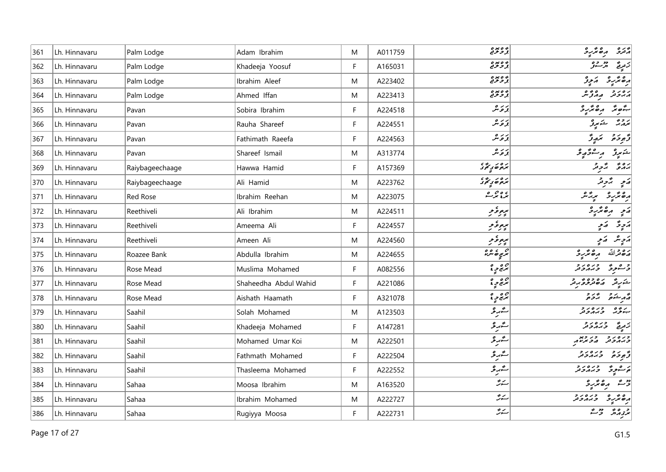| 361 | Lh. Hinnavaru | Palm Lodge      | Adam Ibrahim          | M         | A011759 | پژويوه                                  | رە ئرىر<br>پوره<br>مرتز                                                                     |
|-----|---------------|-----------------|-----------------------|-----------|---------|-----------------------------------------|---------------------------------------------------------------------------------------------|
| 362 | Lh. Hinnavaru | Palm Lodge      | Khadeeja Yoosuf       | F         | A165031 | ء ە يو ە<br>تر تر يى                    | در ده<br>  تر ورقعٌ<br>                                                                     |
| 363 | Lh. Hinnavaru | Palm Lodge      | Ibrahim Aleef         | ${\sf M}$ | A223402 | ه ه بر ه<br><b>ب</b> ر <del>د</del> نوم | رەپزېرە<br>ترىپى                                                                            |
| 364 | Lh. Hinnavaru | Palm Lodge      | Ahmed Iffan           | M         | A223413 | ه ه بر ه<br><b>ب</b> ر <del>د</del> نوم | ەمۇشر<br>ر ه ر د<br>م.روتر                                                                  |
| 365 | Lh. Hinnavaru | Pavan           | Sobira Ibrahim        | F         | A224518 | پر ئەھر                                 | دە ئەرد<br>بثوءثر                                                                           |
| 366 | Lh. Hinnavaru | Pavan           | Rauha Shareef         | F         | A224551 | بۇءىش                                   | بروي<br>ے مور <sup>9</sup>                                                                  |
| 367 | Lh. Hinnavaru | Pavan           | Fathimath Raeefa      | F         | A224563 | بۇءىش                                   | ىمەرتى<br>ۇ بوزى <sub>ۋ</sub>                                                               |
| 368 | Lh. Hinnavaru | Pavan           | Shareef Ismail        | ${\sf M}$ | A313774 | بۇءىش                                   | بە ھۇرچ<br>ڪ مور<br>ح                                                                       |
| 369 | Lh. Hinnavaru | Raiybageechaage | Hawwa Hamid           | F         | A157369 | پره ده پر پر پر                         | $rac{20}{20}$<br>برٌحرِ قر                                                                  |
| 370 | Lh. Hinnavaru | Raiybageechaage | Ali Hamid             | M         | A223762 | ىرە بىر بەر<br>ئىرمۇھ <sub>كە</sub> كەر | أوأمج المجمج وقرأ                                                                           |
| 371 | Lh. Hinnavaru | <b>Red Rose</b> | Ibrahim Reehan        | M         | A223075 | <sup>ی 9</sup> می م                     | ە ھەتگەرى<br>بەھەتگەرى<br>ىر ئەگە                                                           |
| 372 | Lh. Hinnavaru | Reethiveli      | Ali Ibrahim           | ${\sf M}$ | A224511 | ىرە <sub>ۋ</sub> ۇمۇ                    |                                                                                             |
| 373 | Lh. Hinnavaru | Reethiveli      | Ameema Ali            | F         | A224557 | ېره وگو<br>ئ <sup>و تر</sup> سر         | $\overline{\mathcal{Z}_{\mathcal{Z}}^{\times} \mathcal{Z}_{\mathcal{Z}}^{\times}}$<br>ەكىپە |
| 374 | Lh. Hinnavaru | Reethiveli      | Ameen Ali             | M         | A224560 | ېره د کو                                | ړې پې                                                                                       |
| 375 | Lh. Hinnavaru | Roazee Bank     | Abdulla Ibrahim       | M         | A224655 | ە يەھ بىرىدە<br>ئىرىپ ھەترىر            | ة صحرالله<br>وە ئرىر ۋ                                                                      |
| 376 | Lh. Hinnavaru | Rose Mead       | Muslima Mohamed       | F         | A082556 | مرج ح <sub>و</sub> ء                    | و ر ه ر د<br>تر پر ژ تر<br>3 مش <i>ور</i> دً                                                |
| 377 | Lh. Hinnavaru | Rose Mead       | Shaheedha Abdul Wahid | F         | A221086 | مرج ح ع<br>  مرج ح ع                    | ر ه وه و د<br>پره ترنرو بر تر<br>ے کے رنگر<br>پیر                                           |
| 378 | Lh. Hinnavaru | Rose Mead       | Aishath Haamath       | F         | A321078 | مرج ح <sub>و</sub> ء                    |                                                                                             |
| 379 | Lh. Hinnavaru | Saahil          | Solah Mohamed         | ${\sf M}$ | A123503 | سەمەيەتىر                               | و ر ه ر د<br>تر پروتر<br>بەۋر                                                               |
| 380 | Lh. Hinnavaru | Saahil          | Khadeeja Mohamed      | F         | A147281 | سەبەير                                  | و ره ر د<br>تربر د تر<br>ترىرىچ                                                             |
| 381 | Lh. Hinnavaru | Saahil          | Mohamed Umar Koi      | ${\sf M}$ | A222501 | سەبەيد                                  | כנסנכ כנכמה<br>כממכת מכמטה                                                                  |
| 382 | Lh. Hinnavaru | Saahil          | Fathmath Mohamed      | F         | A222504 | سەبەير                                  | و رە ر د<br>تر پر تر تر<br>ءِ بر د                                                          |
| 383 | Lh. Hinnavaru | Saahil          | Thasleema Mohamed     | F         | A222552 | سەر بۇ                                  | و ره ر و<br>تر پر ژنر<br>ۇسۇرۇ                                                              |
| 384 | Lh. Hinnavaru | Sahaa           | Moosa Ibrahim         | ${\sf M}$ | A163520 | سەتە                                    | دی مشک<br>وە ئۈرۈ                                                                           |
| 385 | Lh. Hinnavaru | Sahaa           | Ibrahim Mohamed       | M         | A222727 | يە                                      | و ر ه ر د<br>تر پروتر<br>دە ئەرد                                                            |
| 386 | Lh. Hinnavaru | Sahaa           | Rugiyya Moosa         | F         | A222731 | يەيىتە                                  | بر <sub>نج</sub> و مر<br>حر مشر                                                             |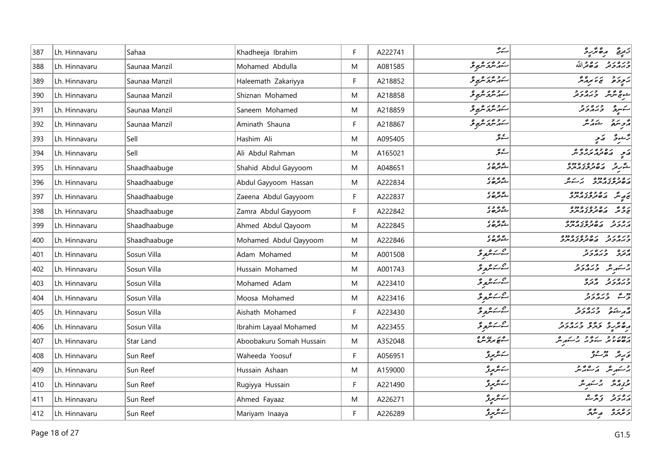| 387 | Lh. Hinnavaru | Sahaa         | Khadheeja Ibrahim        | F  | A222741 | سەتە                                | دَمِيعٌ رِهْ مَّرِ وْ                                                                  |
|-----|---------------|---------------|--------------------------|----|---------|-------------------------------------|----------------------------------------------------------------------------------------|
| 388 | Lh. Hinnavaru | Saunaa Manzil | Mohamed Abdulla          | M  | A081585 | ر <i>د هغ</i> ه ش <sub>ک</sub> ې تر | وره رو ده دالله                                                                        |
| 389 | Lh. Hinnavaru | Saunaa Manzil | Haleemath Zakariyya      | F  | A218852 | <i>ے پر شرکتر شہر</i> بحر           | بروزة بالابراد                                                                         |
| 390 | Lh. Hinnavaru | Saunaa Manzil | Shiznan Mohamed          | M  | A218858 | ىر <i>دېنىز مەنبى</i> ئى            | ے مگریش ویرہ دو<br>خوب <mark>ج س</mark> گریش ویرا <i>ز و</i> ر                         |
| 391 | Lh. Hinnavaru | Saunaa Manzil | Saneem Mohamed           | M  | A218859 | ر <i>د هغ</i> ه ش <sub>ک</sub> ې تر | و ره ر و<br><i>و پر</i> و تر<br>سەبىرچە                                                |
| 392 | Lh. Hinnavaru | Saunaa Manzil | Aminath Shauna           | F  | A218867 | ر <i>ج مۇنە</i> ھې بۇ               | أرمز<br>شەرقە ئىگر                                                                     |
| 393 | Lh. Hinnavaru | Sell          | Hashim Ali               | M  | A095405 | ئەۋ                                 | رٌجود کرمٍ                                                                             |
| 394 | Lh. Hinnavaru | Sell          | Ali Abdul Rahman         | M  | A165021 | ئەۋ                                 | ر ده ده ده ده و                                                                        |
| 395 | Lh. Hinnavaru | Shaadhaabuqe  | Shahid Abdul Gayyoom     | M  | A048651 | ر د و د ه<br>شوتر <i>ه د</i>        | شگرد ده ده ده ده<br>شگردگر شه تروی بر در                                               |
| 396 | Lh. Hinnavaru | Shaadhaabuqe  | Abdul Gayyoom Hassan     | M  | A222834 | ر د د د د<br>شوتر <i>ه د</i>        | ره وه پره دوه در کرکنگی<br>هانه توریخ های در کرکنگی                                    |
| 397 | Lh. Hinnavaru | Shaadhaabuqe  | Zaeena Abdul Gayyoom     | F. | A222837 | ر د د د ،<br>شوتر <i>ه د</i>        | ر شهر ده وه به ۱۵۶۵<br>محمد شهر محمد محمد محمد                                         |
| 398 | Lh. Hinnavaru | Shaadhaabuqe  | Zamra Abdul Gayyoom      | F. | A222842 | ر د د د ،<br>شوتر <i>ه د</i>        | נים גם כסגם בסים<br>מכינה השינות ברות                                                  |
| 399 | Lh. Hinnavaru | Shaadhaabuqe  | Ahmed Abdul Qayoom       | M  | A222845 | ر د د د ،<br>شوتر <i>ه د</i>        | ر ס ر כ     ر ס כ ס כ ס ס כ ס<br>ג ג כ تر         ג ש تر <del>ت</del> ر <i>ב ג ת כ</i> |
| 400 | Lh. Hinnavaru | Shaadhaabuge  | Mohamed Abdul Qayyoom    | M  | A222846 | ر د د د ،<br>شوتر <i>ه د</i>        | כנסני נסיפוסמס<br>הממכת מסתי <i>ב</i> מיני                                             |
| 401 | Lh. Hinnavaru | Sosun Villa   | Adam Mohamed             | M  | A001508 | <u>مەسە ئەرە</u>                    | و رە ر د<br>تر پروتر<br>پژ <sub>مرو</sub><br>پژمورو                                    |
| 402 | Lh. Hinnavaru | Sosun Villa   | Hussain Mohamed          | M  | A001743 | استمستشعر                           | بركتهر شده در و                                                                        |
| 403 | Lh. Hinnavaru | Sosun Villa   | Mohamed Adam             | M  | A223410 | 2 سەمبىرى <i>م</i> ۇ                | ورەرو پەرە                                                                             |
| 404 | Lh. Hinnavaru | Sosun Villa   | Moosa Mohamed            | M  | A223416 | <u>ح سەمىرى ئە</u>                  | 5,0,0,0                                                                                |
| 405 | Lh. Hinnavaru | Sosun Villa   | Aishath Mohamed          | F  | A223430 | <u>شر سەھرى</u> مىتى                | و دره دره در در<br>مگرشوی درگردند                                                      |
| 406 | Lh. Hinnavaru | Sosun Villa   | Ibrahim Layaal Mohamed   | M  | A223455 | <u>شر سەھرىم</u> ۇ                  |                                                                                        |
| 407 | Lh. Hinnavaru | Star Land     | Aboobakuru Somah Hussain | M  | A352048 | ە يە يە ە ە<br>سىرى ئىرىش           | גמג ככן גובר כן ת                                                                      |
| 408 | Lh. Hinnavaru | Sun Reef      | Waheeda Yoosuf           | F  | A056951 | ئەشرىر ۋ                            | ى بەنگە ئەجرىسىمۇ                                                                      |
| 409 | Lh. Hinnavaru | Sun Reef      | Hussain Ashaan           | M  | A159000 | ئەمىر پور<br>مەمرىپەر               |                                                                                        |
| 410 | Lh. Hinnavaru | Sun Reef      | Rugiyya Hussain          | F  | A221490 | ئەنگە بىر ۋ                         | برتومدهم بالمستهر مكر                                                                  |
| 411 | Lh. Hinnavaru | Sun Reef      | Ahmed Fayaaz             | M  | A226271 | سەمىرى <sub>ر</sub> و               | برەر دېگر ش                                                                            |
| 412 | Lh. Hinnavaru | Sun Reef      | Mariyam Inaaya           | F. | A226289 | ئەنگە بېرۇ                          | رەرە مەش                                                                               |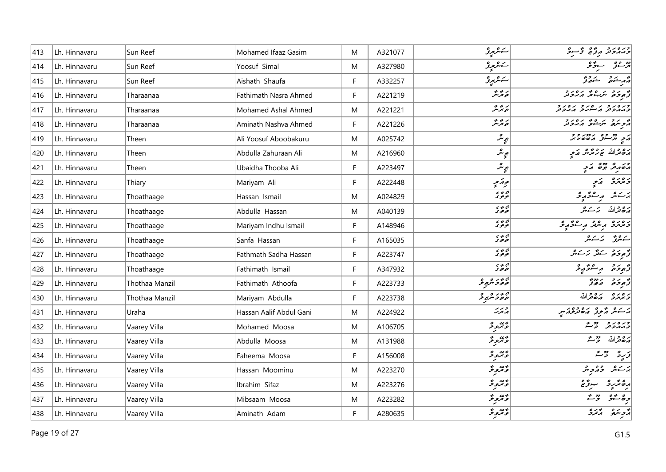| 413 | Lh. Hinnavaru | Sun Reef       | Mohamed Ifaaz Gasim     | M         | A321077 | ئەمىر پور <sup>ە</sup>                 | وبرورد رؤء كالمرو                                                                                   |
|-----|---------------|----------------|-------------------------|-----------|---------|----------------------------------------|-----------------------------------------------------------------------------------------------------|
| 414 | Lh. Hinnavaru | Sun Reef       | Yoosuf Simal            | M         | A327980 | سەمىرىۋ                                | در ده سرگرمی<br>رسوز                                                                                |
| 415 | Lh. Hinnavaru | Sun Reef       | Aishath Shaufa          | F         | A332257 | ئەمىر پور<br>سەمىر بور                 | مەرىشىم شىمەتى                                                                                      |
| 416 | Lh. Hinnavaru | Tharaanaa      | Fathimath Nasra Ahmed   | F         | A221219 | ە ئەر                                  | و د د سره د ده د د                                                                                  |
| 417 | Lh. Hinnavaru | Tharaanaa      | Mohamed Ashal Ahmed     | M         | A221221 | لرمزيئر                                | ورەر د در مرد دەر د<br>دېرمرد تر سرگر مهرونر                                                        |
| 418 | Lh. Hinnavaru | Tharaanaa      | Aminath Nashva Ahmed    | F         | A221226 | ۇبۇبىر                                 |                                                                                                     |
| 419 | Lh. Hinnavaru | Theen          | Ali Yoosuf Aboobakuru   | M         | A025742 | ۾ پڻر                                  | ג כר כם גדוגר כ                                                                                     |
| 420 | Lh. Hinnavaru | Theen          | Abdulla Zahuraan Ali    | ${\sf M}$ | A216960 | ۾ پڻر                                  | أرەقراللە برىر مەير                                                                                 |
| 421 | Lh. Hinnavaru | Theen          | Ubaidha Thooba Ali      | F         | A223497 | مچې شر                                 | 5.80                                                                                                |
| 422 | Lh. Hinnavaru | Thiary         | Mariyam Ali             | F         | A222448 | مورځمنو                                | د وړه کړې                                                                                           |
| 423 | Lh. Hinnavaru | Thoathaage     | Hassan Ismail           | M         | A024829 | ج ءِ ۽<br>حوم <sub>ک</sub>             | برىكىش برسىۋېر ئو                                                                                   |
| 424 | Lh. Hinnavaru | Thoathaage     | Abdulla Hassan          | M         | A040139 | ج ءِ ج<br>حو جو ي                      | مَدْهُ مِّرَاللَّهُ بَرْسَةَ مَّرْ                                                                  |
| 425 | Lh. Hinnavaru | Thoathaage     | Mariyam Indhu Ismail    | F         | A148946 | ∂ پر پ<br>حو تر ک                      | وبرمرد مسترم مستوضع                                                                                 |
| 426 | Lh. Hinnavaru | Thoathaage     | Sanfa Hassan            | F         | A165035 | ∂ ۵ و ع<br> حو حو م                    | ستائىق ئەستانلى                                                                                     |
| 427 | Lh. Hinnavaru | Thoathaage     | Fathmath Sadha Hassan   | F         | A223747 | ج ءِ ج<br>حوص                          | قەم ئەقرىرىسى                                                                                       |
| 428 | Lh. Hinnavaru | Thoathaage     | Fathimath Ismail        | F         | A347932 | ج ءِ ج<br>حوص ت                        | قرم في من المستقصر المحصر المحرم المحرم المحرم المحرم المحرم المحرم المحرم المحرم المحرم المحرم الم |
| 429 | Lh. Hinnavaru | Thothaa Manzil | Fathimath Athoofa       | F         | A223733 | جۇ ئەش <sub>كى</sub> ئە                | كو د دود                                                                                            |
| 430 | Lh. Hinnavaru | Thothaa Manzil | Mariyam Abdulla         | F         | A223738 | جو بر عربي عمر<br>  حو جو جر سر بي عمر | تره مره بره والله                                                                                   |
| 431 | Lh. Hinnavaru | Uraha          | Hassan Aalif Abdul Gani | M         | A224922 | برىرىر                                 | برَ سَمَسٌ مُرَّجَزٌ مَا صَّرْحَهُ سِ                                                               |
| 432 | Lh. Hinnavaru | Vaarey Villa   | Mohamed Moosa           | M         | A106705 | و پر<br>د عر <sub>حو</sub> څه          | ورەر دور                                                                                            |
| 433 | Lh. Hinnavaru | Vaarey Villa   | Abdulla Moosa           | M         | A131988 | و بر<br>  قر تر <i>و</i> قر            | مَەھْرَاللَّهُ حَرْثَةً                                                                             |
| 434 | Lh. Hinnavaru | Vaarey Villa   | Faheema Moosa           | F         | A156008 | ە يە<br>قەنىرموقتە                     | أقررة المحمشة                                                                                       |
| 435 | Lh. Hinnavaru | Vaarey Villa   | Hassan Moominu          | M         | A223270 | په پره<br>  عربه عرب                   | برسكش ودوجن                                                                                         |
| 436 | Lh. Hinnavaru | Vaarey Villa   | Ibrahim Sifaz           | M         | A223276 | و بر<br>  عربر عر                      | وە ئۆر سوزى                                                                                         |
| 437 | Lh. Hinnavaru | Vaarey Villa   | Mibsaam Moosa           | M         | A223282 | لۇ <sup>ي</sup> ھوقە                   | 270000                                                                                              |
| 438 | Lh. Hinnavaru | Vaarey Villa   | Aminath Adam            | F         | A280635 | ە يە<br>قەنىزە بەقتى                   | ړ پر په ده د                                                                                        |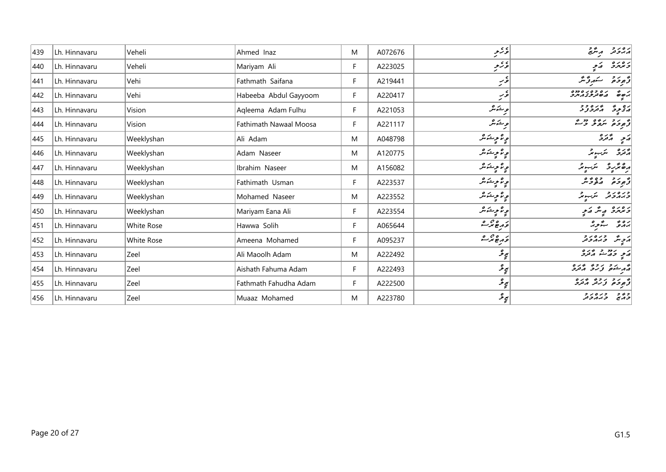| 439 | Lh. Hinnavaru | Veheli            | Ahmed Inaz                    | M  | A072676 | ء بم و                                  | پر ۱۵ رو<br>ەرىتىنج                      |
|-----|---------------|-------------------|-------------------------------|----|---------|-----------------------------------------|------------------------------------------|
| 440 | Lh. Hinnavaru | Veheli            | Mariyam Ali                   | F. | A223025 | ء بحرمر                                 | د ه بره<br>رځ و                          |
| 441 | Lh. Hinnavaru | Vehi              | Fathmath Saifana              | F. | A219441 | قرسر                                    | سەر ئە ئىگر<br>ا تو پر چ                 |
| 442 | Lh. Hinnavaru | Vehi              | Habeeba Abdul Gayyoom         | F. | A220417 | ءُر                                     | 501                                      |
| 443 | Lh. Hinnavaru | Vision            | Agleema Adam Fulhu            | F. | A221053 | ە پەيتىر                                | پر ده و د<br>مرکز کر<br>  پر بح چرچ      |
| 444 | Lh. Hinnavaru | Vision            | <b>Fathimath Nawaal Moosa</b> | F. | A221117 | ە پەيشىر                                | تحج و در ده در د                         |
| 445 | Lh. Hinnavaru | Weeklyshan        | Ali Adam                      | M  | A048798 | <sub>حو</sub> ثة م <sub>ح</sub> يشة مثر | أە ئە ئەترى                              |
| 446 | Lh. Hinnavaru | Weeklyshan        | Adam Naseer                   | M  | A120775 | وٍرْ موِيسَة مْر                        | پج پر ہ<br>مرکور<br>سكرسه محر            |
| 447 | Lh. Hinnavaru | Weeklyshan        | Ibrahim Naseer                | M  | A156082 | وثمويشكر                                | ارە ئ <sup>ې</sup> ر ئە<br>سكرسه محر     |
| 448 | Lh. Hinnavaru | Weeklyshan        | Fathimath Usman               | F. | A223537 | <sub>حو</sub> ثة م <sub>ح</sub> يشة مثر | أو رو وه وه ه                            |
| 449 | Lh. Hinnavaru | Weeklyshan        | Mohamed Naseer                | M  | A223552 | موشوچە شەكە                             | وره رو سرب و                             |
| 450 | Lh. Hinnavaru | Weeklyshan        | Mariyam Eana Ali              | F. | A223554 | <sub>وی</sub> نڈیشر                     | دەرە پەشكەپ                              |
| 451 | Lh. Hinnavaru | <b>White Rose</b> | Hawwa Solih                   | F  | A065644 | ئەرەم بىر م                             | ستزور<br>  پرویچ                         |
| 452 | Lh. Hinnavaru | <b>White Rose</b> | Ameena Mohamed                | F  | A095237 | ر ه ه ه ه م                             | أرجاش وره رو                             |
| 453 | Lh. Hinnavaru | Zeel              | Ali Maoolh Adam               | M  | A222492 | ىپىتى                                   | أەيد وەيمىت أرمز                         |
| 454 | Lh. Hinnavaru | Zeel              | Aishath Fahuma Adam           | F. | A222493 | ىچو                                     | و در در در در در ه<br>در شومی تورگ از در |
| 455 | Lh. Hinnavaru | Zeel              | Fathmath Fahudha Adam         | F. | A222500 | ىجوعر                                   | أوجوح وروي وره                           |
| 456 | Lh. Hinnavaru | Zeel              | Muaaz Mohamed                 | M  | A223780 | ىچە                                     | כל כנסנב<br>כול כמבט                     |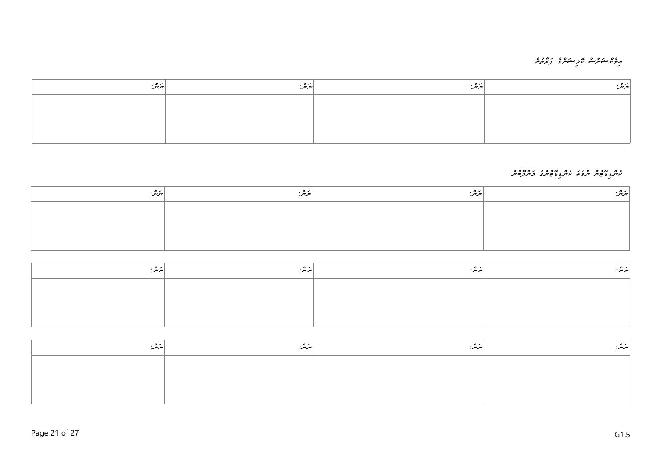## *w7qAn8m? sCw7mRo>u; wEw7mRw;sBo<*

| ' مرمر | 'يئرىثر: |
|--------|----------|
|        |          |
|        |          |
|        |          |

## *w7q9r@w7m> sCw7qHtFoFw7s; mAm=q7 w7qHtFoFw7s;*

| ىر تە | $\mathcal{O} \times$<br>$\sim$ | $\sim$<br>. . | لترنثر |
|-------|--------------------------------|---------------|--------|
|       |                                |               |        |
|       |                                |               |        |
|       |                                |               |        |

| يره | $^{\circ}$ | $\frac{2}{n}$ | $^{\circ}$<br>سرسر. |
|-----|------------|---------------|---------------------|
|     |            |               |                     |
|     |            |               |                     |
|     |            |               |                     |

| ىرتىر: | 。<br>سر سر | .,<br>مرسر |
|--------|------------|------------|
|        |            |            |
|        |            |            |
|        |            |            |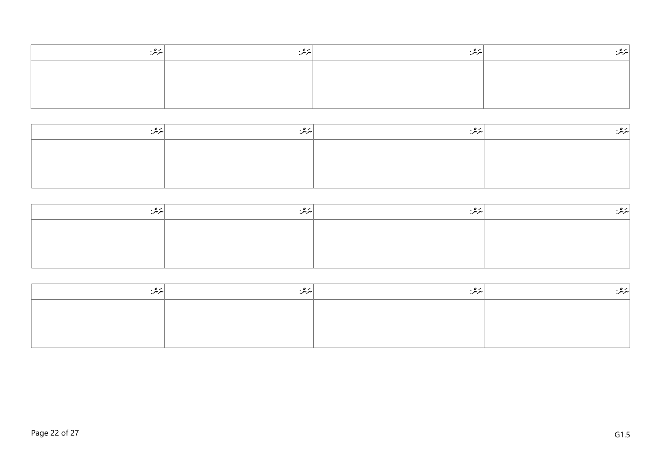| يره. | ο. | ا ير ه |  |
|------|----|--------|--|
|      |    |        |  |
|      |    |        |  |
|      |    |        |  |

| متريثر به | 。<br>'سرسر'۔ | يتزيترا | سرسر |
|-----------|--------------|---------|------|
|           |              |         |      |
|           |              |         |      |
|           |              |         |      |

| ىئرىتر. | $\sim$ | ا بر هه. | لىرىش |
|---------|--------|----------|-------|
|         |        |          |       |
|         |        |          |       |
|         |        |          |       |

| 。<br>مرس. | $\overline{\phantom{a}}$<br>مر سر | يتريثر |
|-----------|-----------------------------------|--------|
|           |                                   |        |
|           |                                   |        |
|           |                                   |        |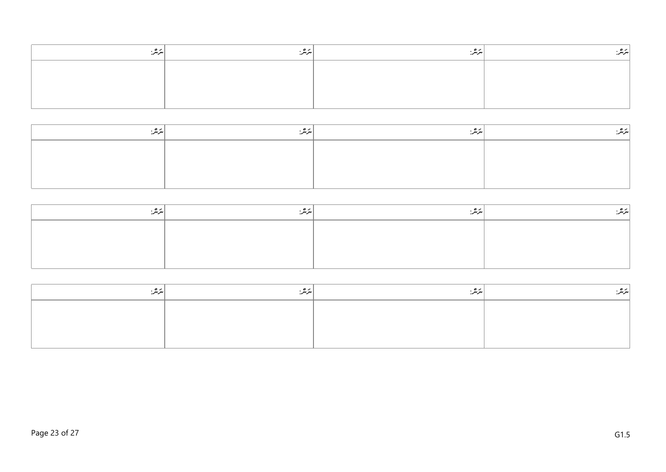| ير هو . | $\overline{\phantom{a}}$ | يرمر | اير هنه. |
|---------|--------------------------|------|----------|
|         |                          |      |          |
|         |                          |      |          |
|         |                          |      |          |

| ىر تىر: | $\circ$ $\sim$<br>" سرسر . | يترمير | o . |
|---------|----------------------------|--------|-----|
|         |                            |        |     |
|         |                            |        |     |
|         |                            |        |     |

| انترنثر: | ر ه |  |
|----------|-----|--|
|          |     |  |
|          |     |  |
|          |     |  |

|  | . ه |
|--|-----|
|  |     |
|  |     |
|  |     |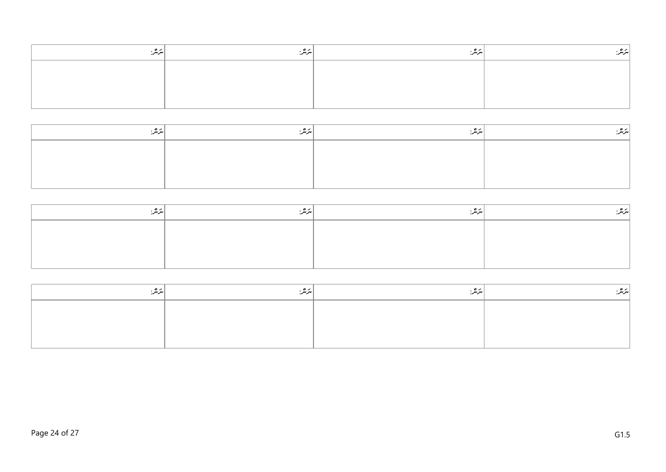| ير هو . | $\overline{\phantom{a}}$ | يرمر | اير هنه. |
|---------|--------------------------|------|----------|
|         |                          |      |          |
|         |                          |      |          |
|         |                          |      |          |

| ىر تىر: | $\circ$ $\sim$<br>" سرسر . | يترمير | o . |
|---------|----------------------------|--------|-----|
|         |                            |        |     |
|         |                            |        |     |
|         |                            |        |     |

| 'تترنثر: | 。<br>,,,, |  |
|----------|-----------|--|
|          |           |  |
|          |           |  |
|          |           |  |

|  | . ه |
|--|-----|
|  |     |
|  |     |
|  |     |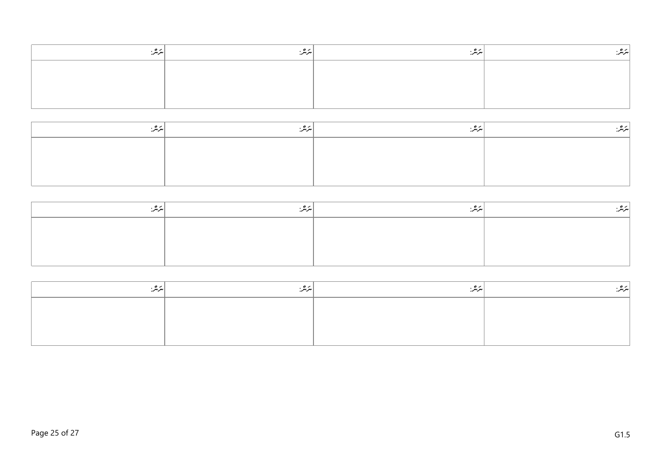| $\cdot$ | ο. | $\frac{\circ}{\cdot}$ | $\sim$<br>سرسر |
|---------|----|-----------------------|----------------|
|         |    |                       |                |
|         |    |                       |                |
|         |    |                       |                |

| ايرعر: | ر ه<br>. . |  |
|--------|------------|--|
|        |            |  |
|        |            |  |
|        |            |  |

| بر ه | 。 | $\sim$<br>َ سومس. |  |
|------|---|-------------------|--|
|      |   |                   |  |
|      |   |                   |  |
|      |   |                   |  |

| 。<br>. س | ىرىىر |  |
|----------|-------|--|
|          |       |  |
|          |       |  |
|          |       |  |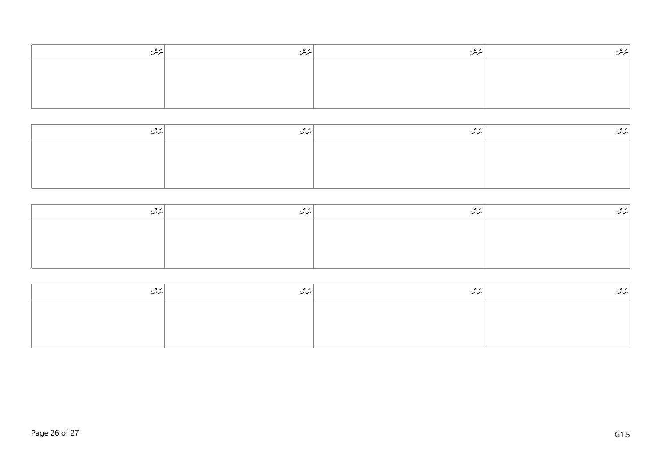| ير هو . | $\overline{\phantom{a}}$ | يرمر | لتزمثن |
|---------|--------------------------|------|--------|
|         |                          |      |        |
|         |                          |      |        |
|         |                          |      |        |

| ىر تىر: | $\circ$ $\sim$<br>" سرسر . | يترمير | o . |
|---------|----------------------------|--------|-----|
|         |                            |        |     |
|         |                            |        |     |
|         |                            |        |     |

| الترنثر: | ' مرتكز: | الترنثر: | .,<br>سرسر. |
|----------|----------|----------|-------------|
|          |          |          |             |
|          |          |          |             |
|          |          |          |             |

|  | . ه |
|--|-----|
|  |     |
|  |     |
|  |     |